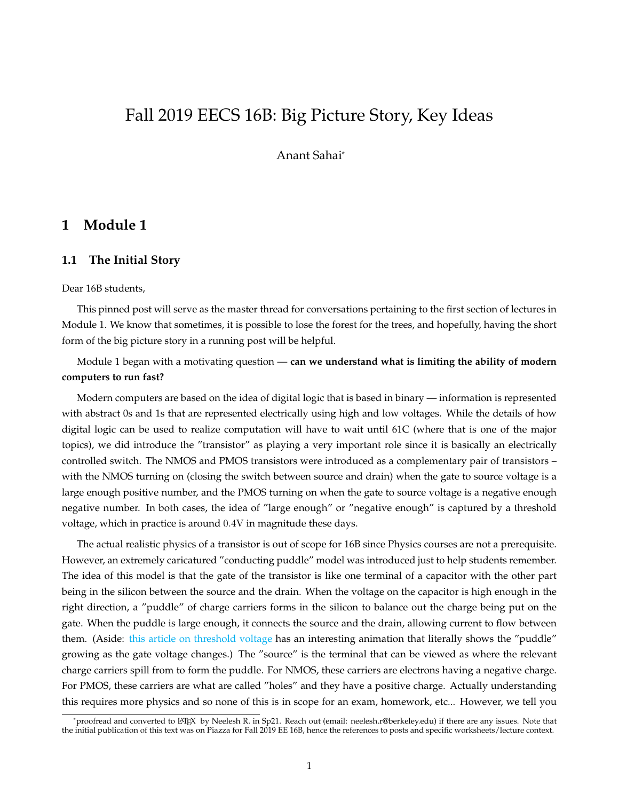# Fall 2019 EECS 16B: Big Picture Story, Key Ideas

Anant Sahai\*

### **1 Module 1**

#### **1.1 The Initial Story**

Dear 16B students,

This pinned post will serve as the master thread for conversations pertaining to the first section of lectures in Module 1. We know that sometimes, it is possible to lose the forest for the trees, and hopefully, having the short form of the big picture story in a running post will be helpful.

Module 1 began with a motivating question — **can we understand what is limiting the ability of modern computers to run fast?**

Modern computers are based on the idea of digital logic that is based in binary — information is represented with abstract 0s and 1s that are represented electrically using high and low voltages. While the details of how digital logic can be used to realize computation will have to wait until 61C (where that is one of the major topics), we did introduce the "transistor" as playing a very important role since it is basically an electrically controlled switch. The NMOS and PMOS transistors were introduced as a complementary pair of transistors – with the NMOS turning on (closing the switch between source and drain) when the gate to source voltage is a large enough positive number, and the PMOS turning on when the gate to source voltage is a negative enough negative number. In both cases, the idea of "large enough" or "negative enough" is captured by a threshold voltage, which in practice is around 0.4V in magnitude these days.

The actual realistic physics of a transistor is out of scope for 16B since Physics courses are not a prerequisite. However, an extremely caricatured "conducting puddle" model was introduced just to help students remember. The idea of this model is that the gate of the transistor is like one terminal of a capacitor with the other part being in the silicon between the source and the drain. When the voltage on the capacitor is high enough in the right direction, a "puddle" of charge carriers forms in the silicon to balance out the charge being put on the gate. When the puddle is large enough, it connects the source and the drain, allowing current to flow between them. (Aside: [this article on threshold voltage](https://en.wikipedia.org/wiki/Threshold_voltage) has an interesting animation that literally shows the "puddle" growing as the gate voltage changes.) The "source" is the terminal that can be viewed as where the relevant charge carriers spill from to form the puddle. For NMOS, these carriers are electrons having a negative charge. For PMOS, these carriers are what are called "holes" and they have a positive charge. Actually understanding this requires more physics and so none of this is in scope for an exam, homework, etc... However, we tell you

<sup>\*</sup>proofread and converted to LATEX by Neelesh R. in Sp21. Reach out (email: neelesh.r@berkeley.edu) if there are any issues. Note that the initial publication of this text was on Piazza for Fall 2019 EE 16B, hence the references to posts and specific worksheets/lecture context.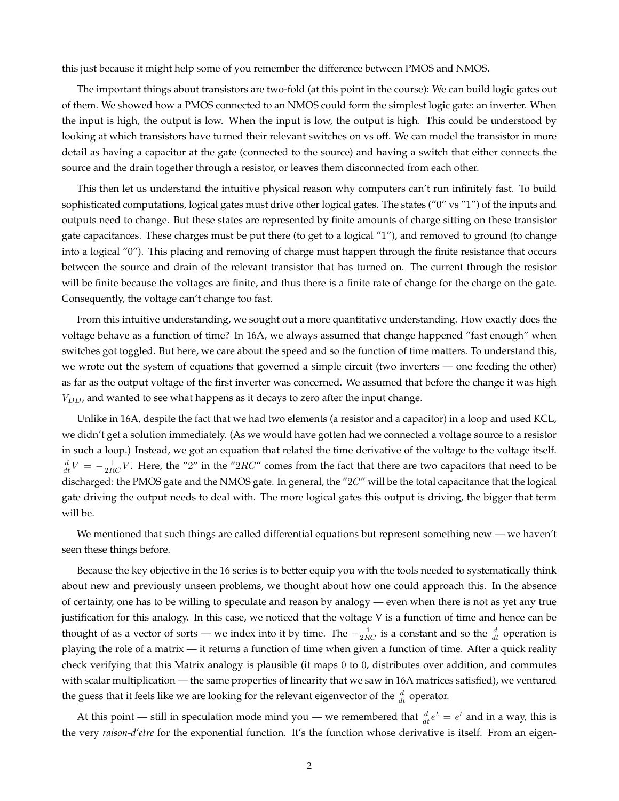this just because it might help some of you remember the difference between PMOS and NMOS.

The important things about transistors are two-fold (at this point in the course): We can build logic gates out of them. We showed how a PMOS connected to an NMOS could form the simplest logic gate: an inverter. When the input is high, the output is low. When the input is low, the output is high. This could be understood by looking at which transistors have turned their relevant switches on vs off. We can model the transistor in more detail as having a capacitor at the gate (connected to the source) and having a switch that either connects the source and the drain together through a resistor, or leaves them disconnected from each other.

This then let us understand the intuitive physical reason why computers can't run infinitely fast. To build sophisticated computations, logical gates must drive other logical gates. The states ("0" vs "1") of the inputs and outputs need to change. But these states are represented by finite amounts of charge sitting on these transistor gate capacitances. These charges must be put there (to get to a logical "1"), and removed to ground (to change into a logical "0"). This placing and removing of charge must happen through the finite resistance that occurs between the source and drain of the relevant transistor that has turned on. The current through the resistor will be finite because the voltages are finite, and thus there is a finite rate of change for the charge on the gate. Consequently, the voltage can't change too fast.

From this intuitive understanding, we sought out a more quantitative understanding. How exactly does the voltage behave as a function of time? In 16A, we always assumed that change happened "fast enough" when switches got toggled. But here, we care about the speed and so the function of time matters. To understand this, we wrote out the system of equations that governed a simple circuit (two inverters — one feeding the other) as far as the output voltage of the first inverter was concerned. We assumed that before the change it was high  $V_{DD}$ , and wanted to see what happens as it decays to zero after the input change.

Unlike in 16A, despite the fact that we had two elements (a resistor and a capacitor) in a loop and used KCL, we didn't get a solution immediately. (As we would have gotten had we connected a voltage source to a resistor in such a loop.) Instead, we got an equation that related the time derivative of the voltage to the voltage itself.  $\frac{d}{dt}V = -\frac{1}{2RC}V$ . Here, the "2" in the "2RC" comes from the fact that there are two capacitors that need to be discharged: the PMOS gate and the NMOS gate. In general, the "2C" will be the total capacitance that the logical gate driving the output needs to deal with. The more logical gates this output is driving, the bigger that term will be.

We mentioned that such things are called differential equations but represent something new — we haven't seen these things before.

Because the key objective in the 16 series is to better equip you with the tools needed to systematically think about new and previously unseen problems, we thought about how one could approach this. In the absence of certainty, one has to be willing to speculate and reason by analogy — even when there is not as yet any true justification for this analogy. In this case, we noticed that the voltage V is a function of time and hence can be thought of as a vector of sorts — we index into it by time. The  $-\frac{1}{2RC}$  is a constant and so the  $\frac{d}{dt}$  operation is playing the role of a matrix — it returns a function of time when given a function of time. After a quick reality check verifying that this Matrix analogy is plausible (it maps 0 to 0, distributes over addition, and commutes with scalar multiplication — the same properties of linearity that we saw in 16A matrices satisfied), we ventured the guess that it feels like we are looking for the relevant eigenvector of the  $\frac{d}{dt}$  operator.

At this point — still in speculation mode mind you — we remembered that  $\frac{d}{dt}e^t = e^t$  and in a way, this is the very *raison-d'etre* for the exponential function. It's the function whose derivative is itself. From an eigen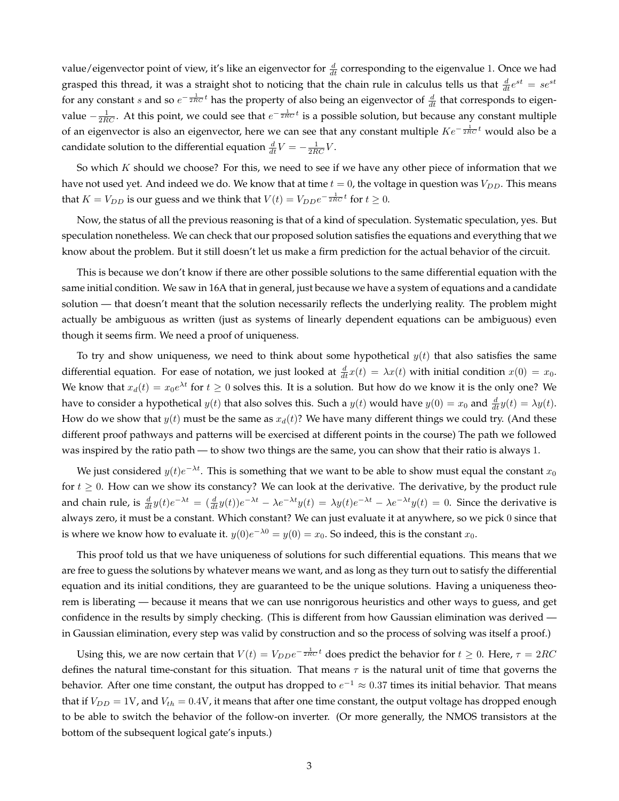value/eigenvector point of view, it's like an eigenvector for  $\frac{d}{dt}$  corresponding to the eigenvalue 1. Once we had grasped this thread, it was a straight shot to noticing that the chain rule in calculus tells us that  $\frac{d}{dt}e^{st} = se^{st}$ for any constant s and so  $e^{-\frac{1}{2RC}t}$  has the property of also being an eigenvector of  $\frac{d}{dt}$  that corresponds to eigenvalue  $-\frac{1}{2RC}$ . At this point, we could see that  $e^{-\frac{1}{2RC}t}$  is a possible solution, but because any constant multiple of an eigenvector is also an eigenvector, here we can see that any constant multiple  $Ke^{-\frac{1}{2RC}t}$  would also be a candidate solution to the differential equation  $\frac{d}{dt}V = -\frac{1}{2RC}V$ .

So which  $K$  should we choose? For this, we need to see if we have any other piece of information that we have not used yet. And indeed we do. We know that at time  $t = 0$ , the voltage in question was  $V_{DD}$ . This means that  $K = V_{DD}$  is our guess and we think that  $V(t) = V_{DD}e^{-\frac{1}{2RC}t}$  for  $t \ge 0$ .

Now, the status of all the previous reasoning is that of a kind of speculation. Systematic speculation, yes. But speculation nonetheless. We can check that our proposed solution satisfies the equations and everything that we know about the problem. But it still doesn't let us make a firm prediction for the actual behavior of the circuit.

This is because we don't know if there are other possible solutions to the same differential equation with the same initial condition. We saw in 16A that in general, just because we have a system of equations and a candidate solution — that doesn't meant that the solution necessarily reflects the underlying reality. The problem might actually be ambiguous as written (just as systems of linearly dependent equations can be ambiguous) even though it seems firm. We need a proof of uniqueness.

To try and show uniqueness, we need to think about some hypothetical  $y(t)$  that also satisfies the same differential equation. For ease of notation, we just looked at  $\frac{d}{dt}x(t) = \lambda x(t)$  with initial condition  $x(0) = x_0$ . We know that  $x_d(t) = x_0 e^{\lambda t}$  for  $t \ge 0$  solves this. It is a solution. But how do we know it is the only one? We have to consider a hypothetical  $y(t)$  that also solves this. Such a  $y(t)$  would have  $y(0) = x_0$  and  $\frac{d}{dt}y(t) = \lambda y(t)$ . How do we show that  $y(t)$  must be the same as  $x_d(t)$ ? We have many different things we could try. (And these different proof pathways and patterns will be exercised at different points in the course) The path we followed was inspired by the ratio path — to show two things are the same, you can show that their ratio is always 1.

We just considered  $y(t)e^{-\lambda t}$ . This is something that we want to be able to show must equal the constant  $x_0$ for  $t \geq 0$ . How can we show its constancy? We can look at the derivative. The derivative, by the product rule and chain rule, is  $\frac{d}{dt}y(t)e^{-\lambda t} = (\frac{d}{dt}y(t))e^{-\lambda t} - \lambda e^{-\lambda t}y(t) = \lambda y(t)e^{-\lambda t} - \lambda e^{-\lambda t}y(t) = 0$ . Since the derivative is always zero, it must be a constant. Which constant? We can just evaluate it at anywhere, so we pick 0 since that is where we know how to evaluate it.  $y(0)e^{-\lambda 0} = y(0) = x_0$ . So indeed, this is the constant  $x_0$ .

This proof told us that we have uniqueness of solutions for such differential equations. This means that we are free to guess the solutions by whatever means we want, and as long as they turn out to satisfy the differential equation and its initial conditions, they are guaranteed to be the unique solutions. Having a uniqueness theorem is liberating — because it means that we can use nonrigorous heuristics and other ways to guess, and get confidence in the results by simply checking. (This is different from how Gaussian elimination was derived in Gaussian elimination, every step was valid by construction and so the process of solving was itself a proof.)

Using this, we are now certain that  $V(t) = V_{D D} e^{-\frac{1}{2RC}t}$  does predict the behavior for  $t \ge 0$ . Here,  $\tau = 2RC$ defines the natural time-constant for this situation. That means  $\tau$  is the natural unit of time that governs the behavior. After one time constant, the output has dropped to  $e^{-1} \approx 0.37$  times its initial behavior. That means that if  $V_{DD} = 1$ V, and  $V_{th} = 0.4$ V, it means that after one time constant, the output voltage has dropped enough to be able to switch the behavior of the follow-on inverter. (Or more generally, the NMOS transistors at the bottom of the subsequent logical gate's inputs.)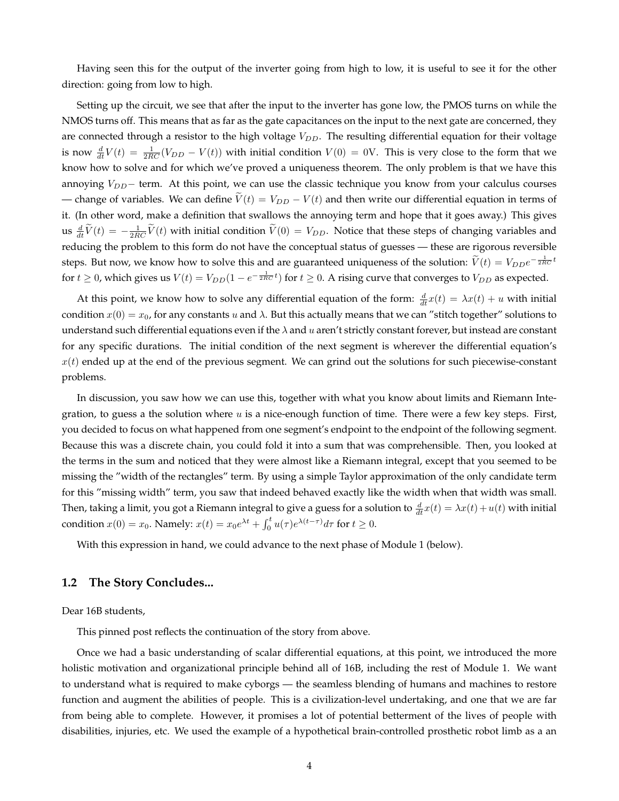Having seen this for the output of the inverter going from high to low, it is useful to see it for the other direction: going from low to high.

Setting up the circuit, we see that after the input to the inverter has gone low, the PMOS turns on while the NMOS turns off. This means that as far as the gate capacitances on the input to the next gate are concerned, they are connected through a resistor to the high voltage  $V_{DD}$ . The resulting differential equation for their voltage is now  $\frac{d}{dt}V(t) = \frac{1}{2RC}(V_{DD} - V(t))$  with initial condition  $V(0) = 0V$ . This is very close to the form that we know how to solve and for which we've proved a uniqueness theorem. The only problem is that we have this annoying  $V_{DD}$ − term. At this point, we can use the classic technique you know from your calculus courses — change of variables. We can define  $\tilde{V}(t) = V_{DD} - V(t)$  and then write our differential equation in terms of it. (In other word, make a definition that swallows the annoying term and hope that it goes away.) This gives us  $\frac{d}{dt}\tilde{V}(t) = -\frac{1}{2RC}\tilde{V}(t)$  with initial condition  $\tilde{V}(0) = V_{DD}$ . Notice that these steps of changing variables and reducing the problem to this form do not have the conceptual status of guesses — these are rigorous reversible steps. But now, we know how to solve this and are guaranteed uniqueness of the solution:  $\tilde{V}(t) = V_{DD}e^{-\frac{1}{2RC}t}$ for  $t \geq 0$ , which gives us  $V(t) = V_{DD}(1 - e^{-\frac{1}{2RC}t})$  for  $t \geq 0$ . A rising curve that converges to  $V_{DD}$  as expected.

At this point, we know how to solve any differential equation of the form:  $\frac{d}{dt}x(t) = \lambda x(t) + u$  with initial condition  $x(0) = x_0$ , for any constants u and  $\lambda$ . But this actually means that we can "stitch together" solutions to understand such differential equations even if the  $\lambda$  and u aren't strictly constant forever, but instead are constant for any specific durations. The initial condition of the next segment is wherever the differential equation's  $x(t)$  ended up at the end of the previous segment. We can grind out the solutions for such piecewise-constant problems.

In discussion, you saw how we can use this, together with what you know about limits and Riemann Integration, to guess a the solution where u is a nice-enough function of time. There were a few key steps. First, you decided to focus on what happened from one segment's endpoint to the endpoint of the following segment. Because this was a discrete chain, you could fold it into a sum that was comprehensible. Then, you looked at the terms in the sum and noticed that they were almost like a Riemann integral, except that you seemed to be missing the "width of the rectangles" term. By using a simple Taylor approximation of the only candidate term for this "missing width" term, you saw that indeed behaved exactly like the width when that width was small. Then, taking a limit, you got a Riemann integral to give a guess for a solution to  $\frac{d}{dt}x(t)=\lambda x(t)+u(t)$  with initial condition  $x(0) = x_0$ . Namely:  $x(t) = x_0 e^{\lambda t} + \int_0^t u(\tau) e^{\lambda(t-\tau)} d\tau$  for  $t \ge 0$ .

With this expression in hand, we could advance to the next phase of Module 1 (below).

#### **1.2 The Story Concludes...**

Dear 16B students,

This pinned post reflects the continuation of the story from above.

Once we had a basic understanding of scalar differential equations, at this point, we introduced the more holistic motivation and organizational principle behind all of 16B, including the rest of Module 1. We want to understand what is required to make cyborgs — the seamless blending of humans and machines to restore function and augment the abilities of people. This is a civilization-level undertaking, and one that we are far from being able to complete. However, it promises a lot of potential betterment of the lives of people with disabilities, injuries, etc. We used the example of a hypothetical brain-controlled prosthetic robot limb as a an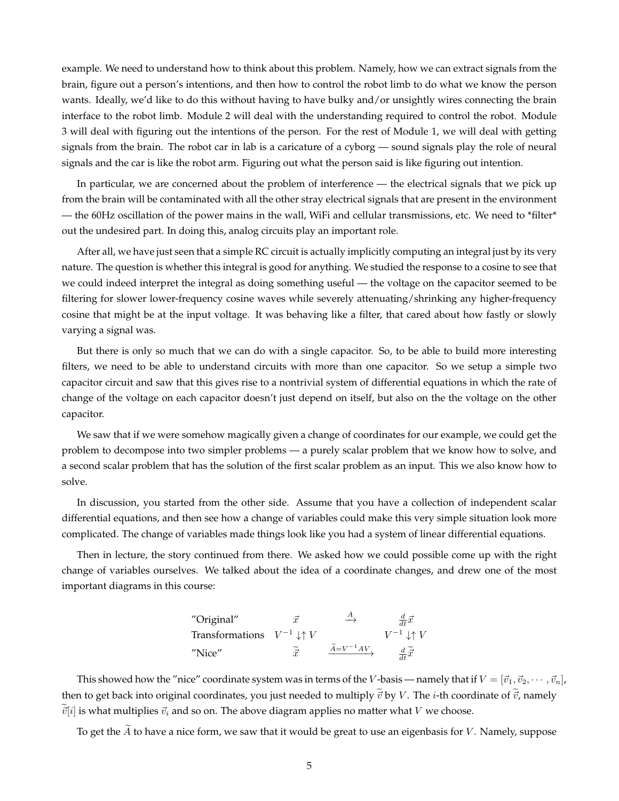example. We need to understand how to think about this problem. Namely, how we can extract signals from the brain, figure out a person's intentions, and then how to control the robot limb to do what we know the person wants. Ideally, we'd like to do this without having to have bulky and/or unsightly wires connecting the brain interface to the robot limb. Module 2 will deal with the understanding required to control the robot. Module 3 will deal with figuring out the intentions of the person. For the rest of Module 1, we will deal with getting signals from the brain. The robot car in lab is a caricature of a cyborg — sound signals play the role of neural signals and the car is like the robot arm. Figuring out what the person said is like figuring out intention.

In particular, we are concerned about the problem of interference — the electrical signals that we pick up from the brain will be contaminated with all the other stray electrical signals that are present in the environment — the 60Hz oscillation of the power mains in the wall, WiFi and cellular transmissions, etc. We need to \*filter\* out the undesired part. In doing this, analog circuits play an important role.

After all, we have just seen that a simple RC circuit is actually implicitly computing an integral just by its very nature. The question is whether this integral is good for anything. We studied the response to a cosine to see that we could indeed interpret the integral as doing something useful — the voltage on the capacitor seemed to be filtering for slower lower-frequency cosine waves while severely attenuating/shrinking any higher-frequency cosine that might be at the input voltage. It was behaving like a filter, that cared about how fastly or slowly varying a signal was.

But there is only so much that we can do with a single capacitor. So, to be able to build more interesting filters, we need to be able to understand circuits with more than one capacitor. So we setup a simple two capacitor circuit and saw that this gives rise to a nontrivial system of differential equations in which the rate of change of the voltage on each capacitor doesn't just depend on itself, but also on the the voltage on the other capacitor.

We saw that if we were somehow magically given a change of coordinates for our example, we could get the problem to decompose into two simpler problems — a purely scalar problem that we know how to solve, and a second scalar problem that has the solution of the first scalar problem as an input. This we also know how to solve.

In discussion, you started from the other side. Assume that you have a collection of independent scalar differential equations, and then see how a change of variables could make this very simple situation look more complicated. The change of variables made things look like you had a system of linear differential equations.

Then in lecture, the story continued from there. We asked how we could possible come up with the right change of variables ourselves. We talked about the idea of a coordinate changes, and drew one of the most important diagrams in this course:

"Original"

\n
$$
\vec{x}
$$

\n $\vec{x}$ 

\n $\overrightarrow{dt}$ 

\nTransformations

\n $V^{-1} \downarrow \uparrow V$ 

\n"Nice"

\n $\widetilde{\vec{x}}$ 

\n $\overrightarrow{\tilde{d}} = V^{-1}AV$ 

\n $\overrightarrow{dt}$ 

\n $\overrightarrow{dt}$ 

This showed how the "nice" coordinate system was in terms of the V-basis — namely that if  $V = [\vec{v}_1, \vec{v}_2, \cdots, \vec{v}_n]$ , then to get back into original coordinates, you just needed to multiply  $\vec{v}$  by V. The *i*-th coordinate of  $\vec{v}$ , namely  $\vec{v}[i]$  is what multiplies  $\vec{v}_i$  and so on. The above diagram applies no matter what V we choose.

To get the  $\widetilde{A}$  to have a nice form, we saw that it would be great to use an eigenbasis for V. Namely, suppose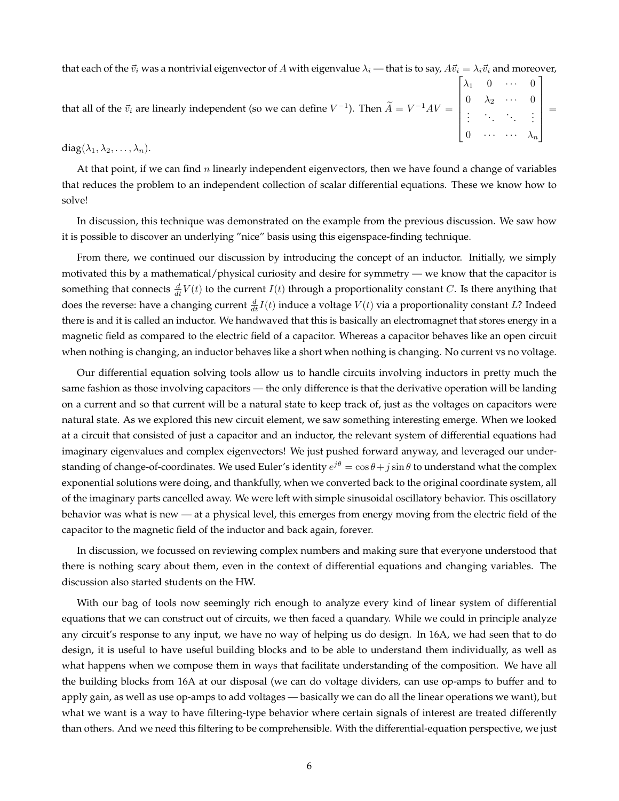that each of the  $\vec{v}_i$  was a nontrivial eigenvector of A with eigenvalue  $\lambda_i$  — that is to say,  $A\vec{v}_i = \lambda_i\vec{v}_i$  and moreover,

that all of the  $\vec{v}_i$  are linearly independent (so we can define  $V^{-1}$ ). Then  $\tilde{A} = V^{-1}AV =$  $\lceil$   $\lambda_1$  0  $\cdots$  0  $0 \lambda_2 \cdots 0$ . . . . . . . . . . . .  $0 \quad \cdots \quad \cdots \quad \lambda_n$ 1 =

 $diag(\lambda_1, \lambda_2, \ldots, \lambda_n).$ 

At that point, if we can find n linearly independent eigenvectors, then we have found a change of variables that reduces the problem to an independent collection of scalar differential equations. These we know how to solve!

In discussion, this technique was demonstrated on the example from the previous discussion. We saw how it is possible to discover an underlying "nice" basis using this eigenspace-finding technique.

From there, we continued our discussion by introducing the concept of an inductor. Initially, we simply motivated this by a mathematical/physical curiosity and desire for symmetry — we know that the capacitor is something that connects  $\frac{d}{dt}V(t)$  to the current  $I(t)$  through a proportionality constant C. Is there anything that does the reverse: have a changing current  $\frac{d}{dt}I(t)$  induce a voltage  $V(t)$  via a proportionality constant  $L$ ? Indeed there is and it is called an inductor. We handwaved that this is basically an electromagnet that stores energy in a magnetic field as compared to the electric field of a capacitor. Whereas a capacitor behaves like an open circuit when nothing is changing, an inductor behaves like a short when nothing is changing. No current vs no voltage.

Our differential equation solving tools allow us to handle circuits involving inductors in pretty much the same fashion as those involving capacitors — the only difference is that the derivative operation will be landing on a current and so that current will be a natural state to keep track of, just as the voltages on capacitors were natural state. As we explored this new circuit element, we saw something interesting emerge. When we looked at a circuit that consisted of just a capacitor and an inductor, the relevant system of differential equations had imaginary eigenvalues and complex eigenvectors! We just pushed forward anyway, and leveraged our understanding of change-of-coordinates. We used Euler's identity  $e^{j\theta} = \cos\theta + j\sin\theta$  to understand what the complex exponential solutions were doing, and thankfully, when we converted back to the original coordinate system, all of the imaginary parts cancelled away. We were left with simple sinusoidal oscillatory behavior. This oscillatory behavior was what is new — at a physical level, this emerges from energy moving from the electric field of the capacitor to the magnetic field of the inductor and back again, forever.

In discussion, we focussed on reviewing complex numbers and making sure that everyone understood that there is nothing scary about them, even in the context of differential equations and changing variables. The discussion also started students on the HW.

With our bag of tools now seemingly rich enough to analyze every kind of linear system of differential equations that we can construct out of circuits, we then faced a quandary. While we could in principle analyze any circuit's response to any input, we have no way of helping us do design. In 16A, we had seen that to do design, it is useful to have useful building blocks and to be able to understand them individually, as well as what happens when we compose them in ways that facilitate understanding of the composition. We have all the building blocks from 16A at our disposal (we can do voltage dividers, can use op-amps to buffer and to apply gain, as well as use op-amps to add voltages — basically we can do all the linear operations we want), but what we want is a way to have filtering-type behavior where certain signals of interest are treated differently than others. And we need this filtering to be comprehensible. With the differential-equation perspective, we just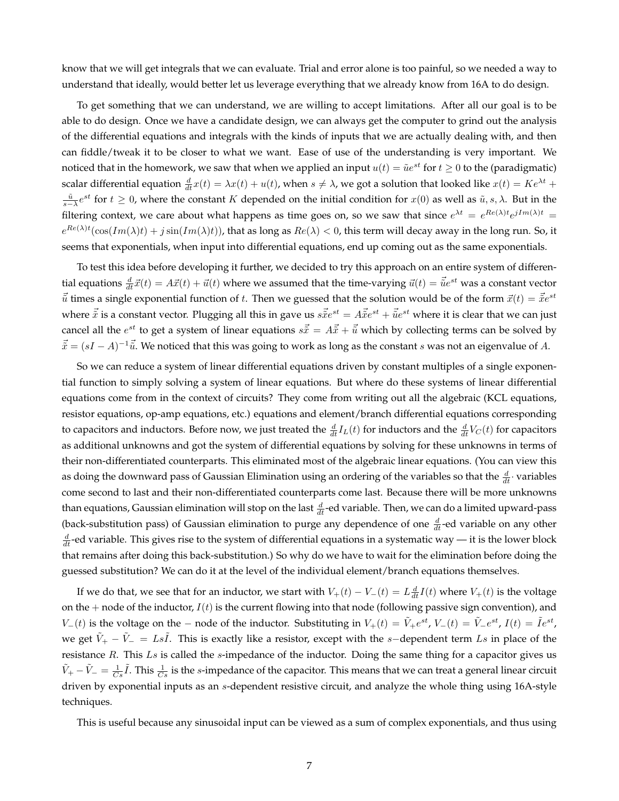know that we will get integrals that we can evaluate. Trial and error alone is too painful, so we needed a way to understand that ideally, would better let us leverage everything that we already know from 16A to do design.

To get something that we can understand, we are willing to accept limitations. After all our goal is to be able to do design. Once we have a candidate design, we can always get the computer to grind out the analysis of the differential equations and integrals with the kinds of inputs that we are actually dealing with, and then can fiddle/tweak it to be closer to what we want. Ease of use of the understanding is very important. We noticed that in the homework, we saw that when we applied an input  $u(t) = \tilde{u}e^{st}$  for  $t \ge 0$  to the (paradigmatic) scalar differential equation  $\frac{d}{dt}x(t) = \lambda x(t) + u(t)$ , when  $s \neq \lambda$ , we got a solution that looked like  $x(t) = Ke^{\lambda t} +$  $\frac{\tilde{u}}{s-\lambda}e^{st}$  for  $t\geq 0$ , where the constant K depended on the initial condition for  $x(0)$  as well as  $\tilde{u}, s, \lambda$ . But in the filtering context, we care about what happens as time goes on, so we saw that since  $e^{\lambda t} = e^{Re(\lambda)t}e^{jIm(\lambda)t} =$  $e^{Re(\lambda)t}(\cos(Im(\lambda)t)+j\sin(Im(\lambda)t))$ , that as long as  $Re(\lambda)< 0$ , this term will decay away in the long run. So, it seems that exponentials, when input into differential equations, end up coming out as the same exponentials.

To test this idea before developing it further, we decided to try this approach on an entire system of differential equations  $\frac{d}{dt}\vec{x}(t) = A\vec{x}(t) + \vec{u}(t)$  where we assumed that the time-varying  $\vec{u}(t) = \vec{u}e^{st}$  was a constant vector  $\vec{\tilde{u}}$  times a single exponential function of t. Then we guessed that the solution would be of the form  $\vec{x}(t) = \vec{\tilde{x}}e^{st}$ where  $\vec{\tilde{x}}$  is a constant vector. Plugging all this in gave us  $s\vec{\tilde{x}}e^{st}=A\vec{\tilde{x}}e^{st}+\vec{\tilde{u}}e^{st}$  where it is clear that we can just cancel all the  $e^{st}$  to get a system of linear equations  $s\vec{\tilde{x}}=A\vec{\tilde{x}}+\vec{\tilde{u}}$  which by collecting terms can be solved by  $\vec{\tilde{x}} = (sI - A)^{-1}\vec{\tilde{u}}$ . We noticed that this was going to work as long as the constant s was not an eigenvalue of A.

So we can reduce a system of linear differential equations driven by constant multiples of a single exponential function to simply solving a system of linear equations. But where do these systems of linear differential equations come from in the context of circuits? They come from writing out all the algebraic (KCL equations, resistor equations, op-amp equations, etc.) equations and element/branch differential equations corresponding to capacitors and inductors. Before now, we just treated the  $\frac{d}{dt}I_L(t)$  for inductors and the  $\frac{d}{dt}V_C(t)$  for capacitors as additional unknowns and got the system of differential equations by solving for these unknowns in terms of their non-differentiated counterparts. This eliminated most of the algebraic linear equations. (You can view this as doing the downward pass of Gaussian Elimination using an ordering of the variables so that the  $\frac{d}{dt} \cdot$  variables come second to last and their non-differentiated counterparts come last. Because there will be more unknowns than equations, Gaussian elimination will stop on the last  $\frac{d}{dt}$ -ed variable. Then, we can do a limited upward-pass (back-substitution pass) of Gaussian elimination to purge any dependence of one  $\frac{d}{dt}$ -ed variable on any other  $\frac{d}{dt}$ -ed variable. This gives rise to the system of differential equations in a systematic way — it is the lower block that remains after doing this back-substitution.) So why do we have to wait for the elimination before doing the guessed substitution? We can do it at the level of the individual element/branch equations themselves.

If we do that, we see that for an inductor, we start with  $V_+(t) - V_-(t) = L\frac{d}{dt}I(t)$  where  $V_+(t)$  is the voltage on the  $+$  node of the inductor,  $I(t)$  is the current flowing into that node (following passive sign convention), and  $V_-(t)$  is the voltage on the – node of the inductor. Substituting in  $V_+(t) = \tilde{V}_+e^{st}$ ,  $V_-(t) = \tilde{V}_-e^{st}$ ,  $I(t) = \tilde{I}e^{st}$ , we get  $\tilde{V}_+ - \tilde{V}_- = Ls\tilde{I}$ . This is exactly like a resistor, except with the s-dependent term Ls in place of the resistance  $R$ . This  $Ls$  is called the  $s$ -impedance of the inductor. Doing the same thing for a capacitor gives us  $\tilde{V}_+ - \tilde{V}_- = \frac{1}{Cs}\tilde{I}$ . This  $\frac{1}{Cs}$  is the s-impedance of the capacitor. This means that we can treat a general linear circuit driven by exponential inputs as an s-dependent resistive circuit, and analyze the whole thing using 16A-style techniques.

This is useful because any sinusoidal input can be viewed as a sum of complex exponentials, and thus using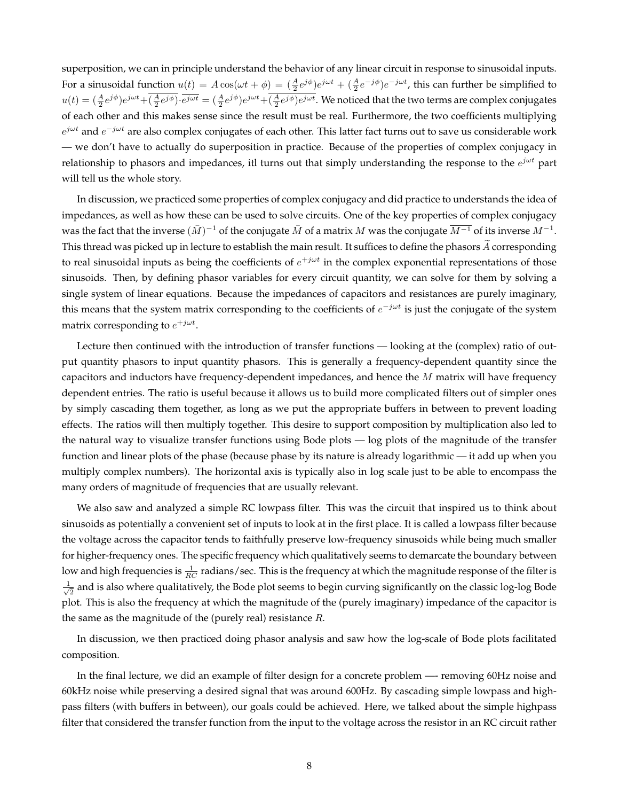superposition, we can in principle understand the behavior of any linear circuit in response to sinusoidal inputs. For a sinusoidal function  $u(t) = A\cos(\omega t + \phi) = (\frac{A}{2}e^{j\phi})e^{j\omega t} + (\frac{A}{2}e^{-j\phi})e^{-j\omega t}$ , this can further be simplified to  $u(t)=(\frac{A}{2}e^{j\phi})e^{j\omega t}+(\frac{A}{2}e^{j\phi})\cdot \overline{e^{j\omega t}}=(\frac{A}{2}e^{j\phi})e^{j\omega t}+(\frac{A}{2}e^{j\phi})e^{j\omega t}$ . We noticed that the two terms are complex conjugates of each other and this makes sense since the result must be real. Furthermore, the two coefficients multiplying  $e^{j\omega t}$  and  $e^{-j\omega t}$  are also complex conjugates of each other. This latter fact turns out to save us considerable work — we don't have to actually do superposition in practice. Because of the properties of complex conjugacy in relationship to phasors and impedances, itl turns out that simply understanding the response to the  $e^{j\omega t}$  part will tell us the whole story.

In discussion, we practiced some properties of complex conjugacy and did practice to understands the idea of impedances, as well as how these can be used to solve circuits. One of the key properties of complex conjugacy was the fact that the inverse  $(\bar{M})^{-1}$  of the conjugate  $\bar{M}$  of a matrix  $M$  was the conjugate  $\overline{M^{-1}}$  of its inverse  $M^{-1}.$ This thread was picked up in lecture to establish the main result. It suffices to define the phasors  $\tilde{A}$  corresponding to real sinusoidal inputs as being the coefficients of  $e^{+j\omega t}$  in the complex exponential representations of those sinusoids. Then, by defining phasor variables for every circuit quantity, we can solve for them by solving a single system of linear equations. Because the impedances of capacitors and resistances are purely imaginary, this means that the system matrix corresponding to the coefficients of  $e^{-j\omega t}$  is just the conjugate of the system matrix corresponding to  $e^{+j\omega t}$ .

Lecture then continued with the introduction of transfer functions — looking at the (complex) ratio of output quantity phasors to input quantity phasors. This is generally a frequency-dependent quantity since the capacitors and inductors have frequency-dependent impedances, and hence the  $M$  matrix will have frequency dependent entries. The ratio is useful because it allows us to build more complicated filters out of simpler ones by simply cascading them together, as long as we put the appropriate buffers in between to prevent loading effects. The ratios will then multiply together. This desire to support composition by multiplication also led to the natural way to visualize transfer functions using Bode plots — log plots of the magnitude of the transfer function and linear plots of the phase (because phase by its nature is already logarithmic — it add up when you multiply complex numbers). The horizontal axis is typically also in log scale just to be able to encompass the many orders of magnitude of frequencies that are usually relevant.

We also saw and analyzed a simple RC lowpass filter. This was the circuit that inspired us to think about sinusoids as potentially a convenient set of inputs to look at in the first place. It is called a lowpass filter because the voltage across the capacitor tends to faithfully preserve low-frequency sinusoids while being much smaller for higher-frequency ones. The specific frequency which qualitatively seems to demarcate the boundary between low and high frequencies is  $\frac{1}{RC}$  radians/sec. This is the frequency at which the magnitude response of the filter is  $\frac{1}{2}$  $_{\overline{2}}$  and is also where qualitatively, the Bode plot seems to begin curving significantly on the classic log-log Bode plot. This is also the frequency at which the magnitude of the (purely imaginary) impedance of the capacitor is the same as the magnitude of the (purely real) resistance  $R$ .

In discussion, we then practiced doing phasor analysis and saw how the log-scale of Bode plots facilitated composition.

In the final lecture, we did an example of filter design for a concrete problem —- removing 60Hz noise and 60kHz noise while preserving a desired signal that was around 600Hz. By cascading simple lowpass and highpass filters (with buffers in between), our goals could be achieved. Here, we talked about the simple highpass filter that considered the transfer function from the input to the voltage across the resistor in an RC circuit rather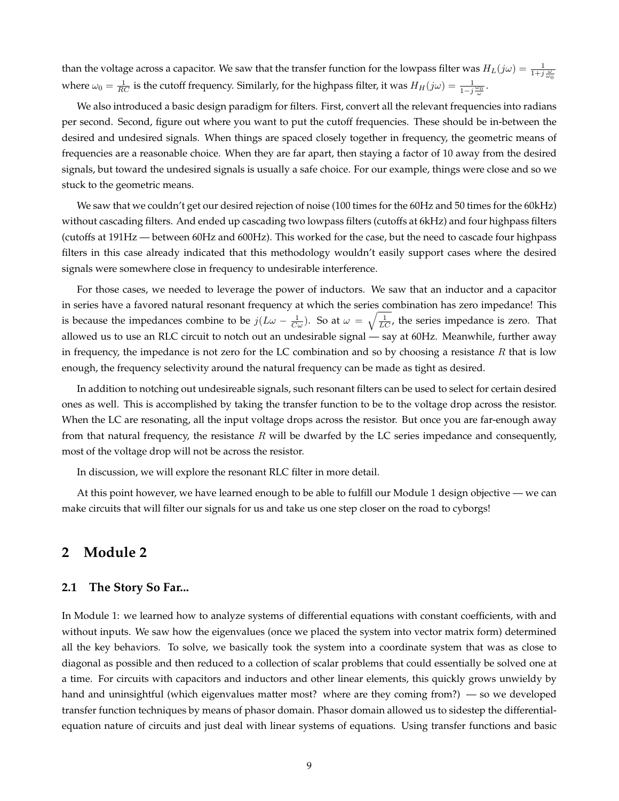than the voltage across a capacitor. We saw that the transfer function for the lowpass filter was  $H_L(j\omega) = \frac{1}{1+j\frac{\omega}{\omega_0}}$ where  $\omega_0 = \frac{1}{RC}$  is the cutoff frequency. Similarly, for the highpass filter, it was  $H_H(j\omega) = \frac{1}{1-j\frac{\omega_0}{\omega}}$ .

We also introduced a basic design paradigm for filters. First, convert all the relevant frequencies into radians per second. Second, figure out where you want to put the cutoff frequencies. These should be in-between the desired and undesired signals. When things are spaced closely together in frequency, the geometric means of frequencies are a reasonable choice. When they are far apart, then staying a factor of 10 away from the desired signals, but toward the undesired signals is usually a safe choice. For our example, things were close and so we stuck to the geometric means.

We saw that we couldn't get our desired rejection of noise (100 times for the 60Hz and 50 times for the 60kHz) without cascading filters. And ended up cascading two lowpass filters (cutoffs at 6kHz) and four highpass filters (cutoffs at 191Hz — between 60Hz and 600Hz). This worked for the case, but the need to cascade four highpass filters in this case already indicated that this methodology wouldn't easily support cases where the desired signals were somewhere close in frequency to undesirable interference.

For those cases, we needed to leverage the power of inductors. We saw that an inductor and a capacitor in series have a favored natural resonant frequency at which the series combination has zero impedance! This is because the impedances combine to be  $j(L\omega - \frac{1}{C\omega})$ . So at  $\omega = \sqrt{\frac{1}{LC}}$ , the series impedance is zero. That allowed us to use an RLC circuit to notch out an undesirable signal — say at 60Hz. Meanwhile, further away in frequency, the impedance is not zero for the LC combination and so by choosing a resistance  $R$  that is low enough, the frequency selectivity around the natural frequency can be made as tight as desired.

In addition to notching out undesireable signals, such resonant filters can be used to select for certain desired ones as well. This is accomplished by taking the transfer function to be to the voltage drop across the resistor. When the LC are resonating, all the input voltage drops across the resistor. But once you are far-enough away from that natural frequency, the resistance  $R$  will be dwarfed by the LC series impedance and consequently, most of the voltage drop will not be across the resistor.

In discussion, we will explore the resonant RLC filter in more detail.

At this point however, we have learned enough to be able to fulfill our Module 1 design objective — we can make circuits that will filter our signals for us and take us one step closer on the road to cyborgs!

### **2 Module 2**

### **2.1 The Story So Far...**

In Module 1: we learned how to analyze systems of differential equations with constant coefficients, with and without inputs. We saw how the eigenvalues (once we placed the system into vector matrix form) determined all the key behaviors. To solve, we basically took the system into a coordinate system that was as close to diagonal as possible and then reduced to a collection of scalar problems that could essentially be solved one at a time. For circuits with capacitors and inductors and other linear elements, this quickly grows unwieldy by hand and uninsightful (which eigenvalues matter most? where are they coming from?) — so we developed transfer function techniques by means of phasor domain. Phasor domain allowed us to sidestep the differentialequation nature of circuits and just deal with linear systems of equations. Using transfer functions and basic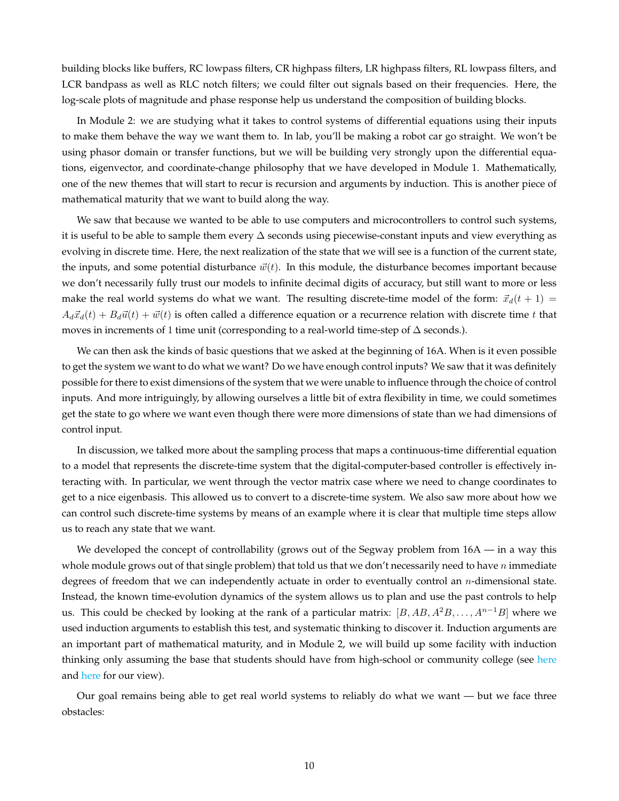building blocks like buffers, RC lowpass filters, CR highpass filters, LR highpass filters, RL lowpass filters, and LCR bandpass as well as RLC notch filters; we could filter out signals based on their frequencies. Here, the log-scale plots of magnitude and phase response help us understand the composition of building blocks.

In Module 2: we are studying what it takes to control systems of differential equations using their inputs to make them behave the way we want them to. In lab, you'll be making a robot car go straight. We won't be using phasor domain or transfer functions, but we will be building very strongly upon the differential equations, eigenvector, and coordinate-change philosophy that we have developed in Module 1. Mathematically, one of the new themes that will start to recur is recursion and arguments by induction. This is another piece of mathematical maturity that we want to build along the way.

We saw that because we wanted to be able to use computers and microcontrollers to control such systems, it is useful to be able to sample them every ∆ seconds using piecewise-constant inputs and view everything as evolving in discrete time. Here, the next realization of the state that we will see is a function of the current state, the inputs, and some potential disturbance  $\vec{w}(t)$ . In this module, the disturbance becomes important because we don't necessarily fully trust our models to infinite decimal digits of accuracy, but still want to more or less make the real world systems do what we want. The resulting discrete-time model of the form:  $\vec{x}_d(t + 1)$  =  $A_d\vec{x}_d(t) + B_d\vec{u}(t) + \vec{w}(t)$  is often called a difference equation or a recurrence relation with discrete time t that moves in increments of 1 time unit (corresponding to a real-world time-step of ∆ seconds.).

We can then ask the kinds of basic questions that we asked at the beginning of 16A. When is it even possible to get the system we want to do what we want? Do we have enough control inputs? We saw that it was definitely possible for there to exist dimensions of the system that we were unable to influence through the choice of control inputs. And more intriguingly, by allowing ourselves a little bit of extra flexibility in time, we could sometimes get the state to go where we want even though there were more dimensions of state than we had dimensions of control input.

In discussion, we talked more about the sampling process that maps a continuous-time differential equation to a model that represents the discrete-time system that the digital-computer-based controller is effectively interacting with. In particular, we went through the vector matrix case where we need to change coordinates to get to a nice eigenbasis. This allowed us to convert to a discrete-time system. We also saw more about how we can control such discrete-time systems by means of an example where it is clear that multiple time steps allow us to reach any state that we want.

We developed the concept of controllability (grows out of the Segway problem from  $16A -$  in a way this whole module grows out of that single problem) that told us that we don't necessarily need to have  $n$  immediate degrees of freedom that we can independently actuate in order to eventually control an  $n$ -dimensional state. Instead, the known time-evolution dynamics of the system allows us to plan and use the past controls to help us. This could be checked by looking at the rank of a particular matrix:  $[B, AB, A^2B, \ldots, A^{n-1}B]$  where we used induction arguments to establish this test, and systematic thinking to discover it. Induction arguments are an important part of mathematical maturity, and in Module 2, we will build up some facility with induction thinking only assuming the base that students should have from high-school or community college (see [here](https://www.cde.ca.gov/ci/ma/cf/documents/mathfwmathematics3jl.pdf) and [here](https://hs-articulation.ucop.edu/guide/a-g-subject-requirements/c-mathematics/) for our view).

Our goal remains being able to get real world systems to reliably do what we want — but we face three obstacles: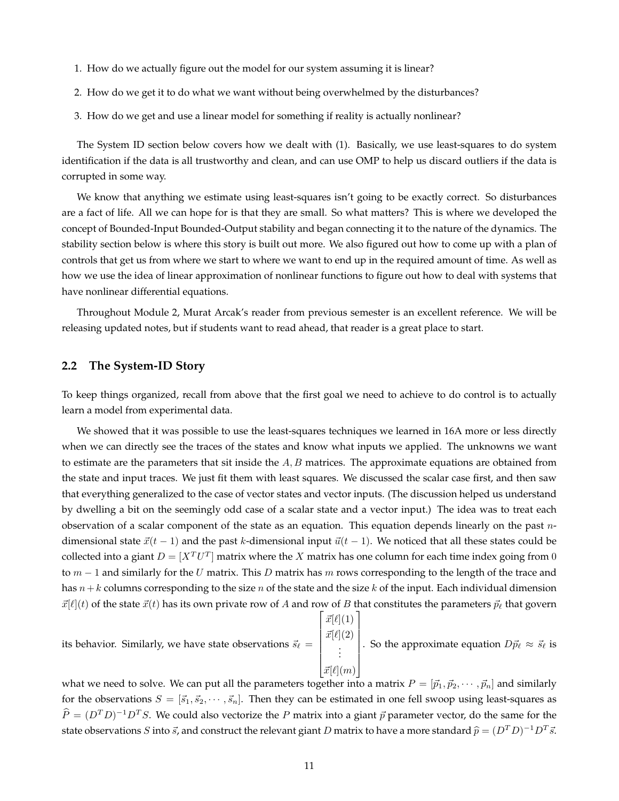- 1. How do we actually figure out the model for our system assuming it is linear?
- 2. How do we get it to do what we want without being overwhelmed by the disturbances?
- 3. How do we get and use a linear model for something if reality is actually nonlinear?

The System ID section below covers how we dealt with (1). Basically, we use least-squares to do system identification if the data is all trustworthy and clean, and can use OMP to help us discard outliers if the data is corrupted in some way.

We know that anything we estimate using least-squares isn't going to be exactly correct. So disturbances are a fact of life. All we can hope for is that they are small. So what matters? This is where we developed the concept of Bounded-Input Bounded-Output stability and began connecting it to the nature of the dynamics. The stability section below is where this story is built out more. We also figured out how to come up with a plan of controls that get us from where we start to where we want to end up in the required amount of time. As well as how we use the idea of linear approximation of nonlinear functions to figure out how to deal with systems that have nonlinear differential equations.

Throughout Module 2, Murat Arcak's reader from previous semester is an excellent reference. We will be releasing updated notes, but if students want to read ahead, that reader is a great place to start.

#### **2.2 The System-ID Story**

To keep things organized, recall from above that the first goal we need to achieve to do control is to actually learn a model from experimental data.

We showed that it was possible to use the least-squares techniques we learned in 16A more or less directly when we can directly see the traces of the states and know what inputs we applied. The unknowns we want to estimate are the parameters that sit inside the  $A, B$  matrices. The approximate equations are obtained from the state and input traces. We just fit them with least squares. We discussed the scalar case first, and then saw that everything generalized to the case of vector states and vector inputs. (The discussion helped us understand by dwelling a bit on the seemingly odd case of a scalar state and a vector input.) The idea was to treat each observation of a scalar component of the state as an equation. This equation depends linearly on the past  $n$ dimensional state  $\vec{x}(t - 1)$  and the past k-dimensional input  $\vec{u}(t - 1)$ . We noticed that all these states could be collected into a giant  $D = [X^T U^T]$  matrix where the  $X$  matrix has one column for each time index going from  $0$ to  $m-1$  and similarly for the U matrix. This D matrix has m rows corresponding to the length of the trace and has  $n+k$  columns corresponding to the size n of the state and the size k of the input. Each individual dimension  $\vec{x}[\ell](t)$  of the state  $\vec{x}(t)$  has its own private row of A and row of B that constitutes the parameters  $\vec{p}_{\ell}$  that govern  $\lceil$ 1

its behavior. Similarly, we have state observations  $\vec{s}_{\ell} =$   $\vec{x}[\ell](1)$  $\vec{x}[\ell](2)$ . . .  $\overrightarrow{x}[\ell](m)$  . So the approximate equation  $D\vec{p}_\ell \approx \vec{s}_\ell$  is

what we need to solve. We can put all the parameters together into a matrix  $P = [\vec{p}_1, \vec{p}_2, \cdots, \vec{p}_n]$  and similarly for the observations  $S = [\vec{s}_1, \vec{s}_2, \cdots, \vec{s}_n]$ . Then they can be estimated in one fell swoop using least-squares as  $\widehat{P} = (D^T D)^{-1} D^T S$ . We could also vectorize the P matrix into a giant  $\vec{p}$  parameter vector, do the same for the state observations  $S$  into  $\vec{s}$ , and construct the relevant giant  $D$  matrix to have a more standard  $\widehat{p} = (D^TD)^{-1}D^T\vec{s}$ .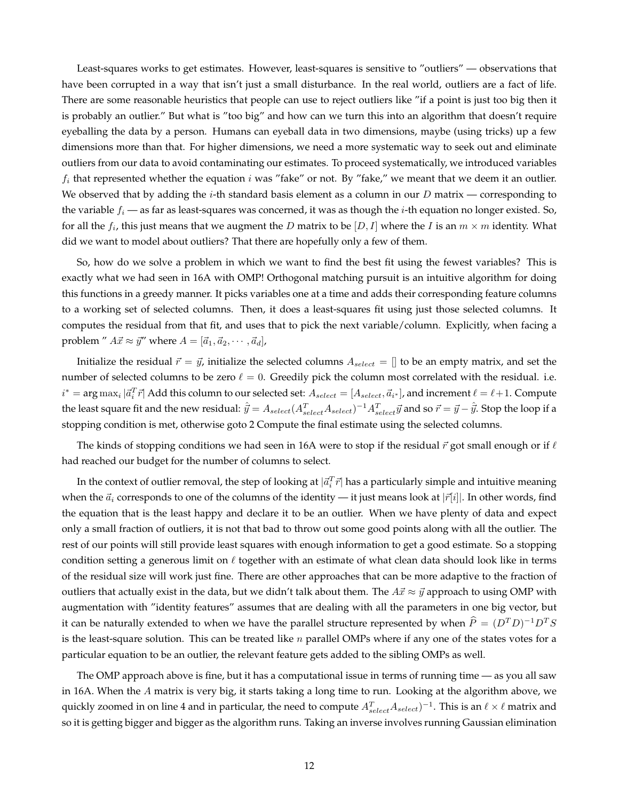Least-squares works to get estimates. However, least-squares is sensitive to "outliers" — observations that have been corrupted in a way that isn't just a small disturbance. In the real world, outliers are a fact of life. There are some reasonable heuristics that people can use to reject outliers like "if a point is just too big then it is probably an outlier." But what is "too big" and how can we turn this into an algorithm that doesn't require eyeballing the data by a person. Humans can eyeball data in two dimensions, maybe (using tricks) up a few dimensions more than that. For higher dimensions, we need a more systematic way to seek out and eliminate outliers from our data to avoid contaminating our estimates. To proceed systematically, we introduced variables  $f_i$  that represented whether the equation i was "fake" or not. By "fake," we meant that we deem it an outlier. We observed that by adding the *i*-th standard basis element as a column in our D matrix — corresponding to the variable  $f_i$  — as far as least-squares was concerned, it was as though the *i*-th equation no longer existed. So, for all the  $f_i$ , this just means that we augment the  $D$  matrix to be  $[D,I]$  where the  $I$  is an  $m\times m$  identity. What did we want to model about outliers? That there are hopefully only a few of them.

So, how do we solve a problem in which we want to find the best fit using the fewest variables? This is exactly what we had seen in 16A with OMP! Orthogonal matching pursuit is an intuitive algorithm for doing this functions in a greedy manner. It picks variables one at a time and adds their corresponding feature columns to a working set of selected columns. Then, it does a least-squares fit using just those selected columns. It computes the residual from that fit, and uses that to pick the next variable/column. Explicitly, when facing a problem "  $A\vec{x} \approx \vec{y}$ " where  $A = [\vec{a}_1, \vec{a}_2, \cdots, \vec{a}_d]$ ,

Initialize the residual  $\vec{r} = \vec{y}$ , initialize the selected columns  $A_{select} = []$  to be an empty matrix, and set the number of selected columns to be zero  $\ell = 0$ . Greedily pick the column most correlated with the residual. i.e.  $i^* = \arg\max_i |\vec{a}_i^T \vec{r}|$  Add this column to our selected set:  $A_{select} = [A_{select}, \vec{a}_{i^*}]$ , and increment  $\ell = \ell+1$ . Compute the least square fit and the new residual:  $\hat{\vec{y}}=A_{select}(A_{select}^T A_{select})^{-1}A_{select}^T\vec{y}$  and so  $\vec{r}=\vec{y}-\hat{\vec{y}}.$  Stop the loop if a stopping condition is met, otherwise goto 2 Compute the final estimate using the selected columns.

The kinds of stopping conditions we had seen in 16A were to stop if the residual  $\vec{r}$  got small enough or if  $\ell$ had reached our budget for the number of columns to select.

In the context of outlier removal, the step of looking at  $|\vec a_i^T\vec r|$  has a particularly simple and intuitive meaning when the  $\vec{a}_i$  corresponds to one of the columns of the identity — it just means look at  $|\vec{r}[i]|$ . In other words, find the equation that is the least happy and declare it to be an outlier. When we have plenty of data and expect only a small fraction of outliers, it is not that bad to throw out some good points along with all the outlier. The rest of our points will still provide least squares with enough information to get a good estimate. So a stopping condition setting a generous limit on  $\ell$  together with an estimate of what clean data should look like in terms of the residual size will work just fine. There are other approaches that can be more adaptive to the fraction of outliers that actually exist in the data, but we didn't talk about them. The  $A\vec{x} \approx \vec{y}$  approach to using OMP with augmentation with "identity features" assumes that are dealing with all the parameters in one big vector, but it can be naturally extended to when we have the parallel structure represented by when  $\widehat{P} = (D^TD)^{-1}D^TS$ is the least-square solution. This can be treated like  $n$  parallel OMPs where if any one of the states votes for a particular equation to be an outlier, the relevant feature gets added to the sibling OMPs as well.

The OMP approach above is fine, but it has a computational issue in terms of running time — as you all saw in 16A. When the A matrix is very big, it starts taking a long time to run. Looking at the algorithm above, we quickly zoomed in on line 4 and in particular, the need to compute  $A^T_{select}A_{select})^{-1}$ . This is an  $\ell\times\ell$  matrix and so it is getting bigger and bigger as the algorithm runs. Taking an inverse involves running Gaussian elimination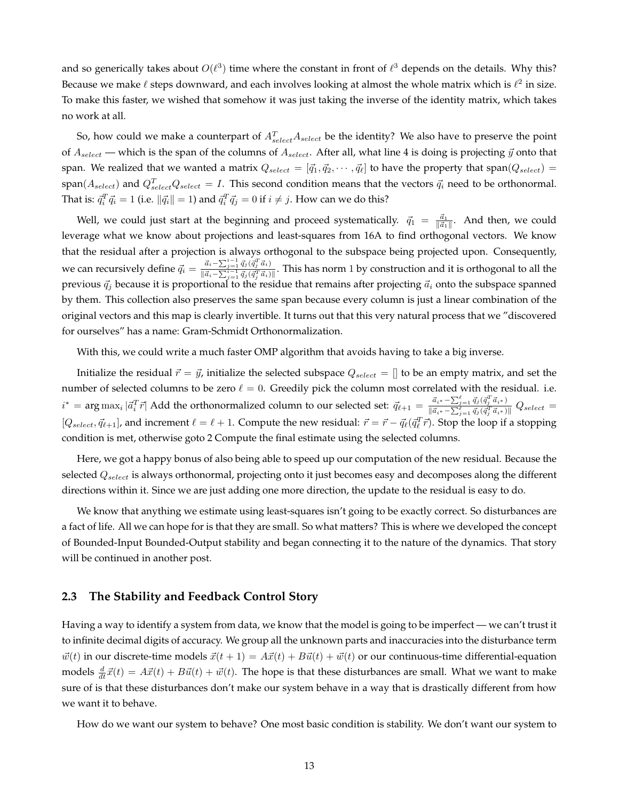and so generically takes about  $O(\ell^3)$  time where the constant in front of  $\ell^3$  depends on the details. Why this? Because we make  $\ell$  steps downward, and each involves looking at almost the whole matrix which is  $\ell^2$  in size. To make this faster, we wished that somehow it was just taking the inverse of the identity matrix, which takes no work at all.

So, how could we make a counterpart of  $A_{select}^T A_{select}$  be the identity? We also have to preserve the point of  $A_{select}$  — which is the span of the columns of  $A_{select}$ . After all, what line 4 is doing is projecting  $\vec{y}$  onto that span. We realized that we wanted a matrix  $Q_{select} = [\vec{q}_1, \vec{q}_2, \cdots, \vec{q}_\ell]$  to have the property that span $(Q_{select})$  =  $\text{span}(A_{select})$  and  $Q_{select}^TQ_{select} = I$ . This second condition means that the vectors  $\vec{q}_i$  need to be orthonormal. That is:  $\vec{q}_i^T \vec{q}_i = 1$  (i.e.  $\|\vec{q}_i\| = 1$ ) and  $\vec{q}_i^T \vec{q}_j = 0$  if  $i \neq j$ . How can we do this?

Well, we could just start at the beginning and proceed systematically.  $\vec{q}_1 = \frac{\vec{a}_1}{\|\vec{a}_1\|}$ . And then, we could leverage what we know about projections and least-squares from 16A to find orthogonal vectors. We know that the residual after a projection is always orthogonal to the subspace being projected upon. Consequently, we can recursively define  $\vec{q}_i = \frac{\vec{a}_i - \sum_{j=1}^{i-1} \vec{q}_j (\vec{q}_j^T \vec{a}_i)}{\|\vec{a}_i - \sum_{j=1}^{i-1} \vec{q}_j (\vec{q}_j^T \vec{a}_j)\|}$  $\frac{a_i-2_{j=1}a_j(q_j|a_i)}{\|\vec{a}_i-\sum_{j=1}^{i-1}\vec{q}_j(\vec{q}_j^T\vec{a}_i)\|}$ . This has norm 1 by construction and it is orthogonal to all the previous  $\vec{q}_j$  because it is proportional to the residue that remains after projecting  $\vec{a}_i$  onto the subspace spanned by them. This collection also preserves the same span because every column is just a linear combination of the original vectors and this map is clearly invertible. It turns out that this very natural process that we "discovered for ourselves" has a name: Gram-Schmidt Orthonormalization.

With this, we could write a much faster OMP algorithm that avoids having to take a big inverse.

Initialize the residual  $\vec{r} = \vec{y}$ , initialize the selected subspace  $Q_{select} = []$  to be an empty matrix, and set the number of selected columns to be zero  $\ell = 0$ . Greedily pick the column most correlated with the residual. i.e.  $i^* = \arg\max_i |\vec{a}_i^T \vec{r}|$  Add the orthonormalized column to our selected set:  $\vec{q}_{\ell+1} = \frac{\vec{a}_{i^*}-\sum_{j=1}^\ell \vec{q}_j (\vec{q}_j^T \vec{a}_{i^*})}{\|\vec{a}_{i^*}-\sum_{j=1}^\ell \vec{q}_j (\vec{q}_j^T \vec{a}_{i^*})\|}$  $\frac{a_i * - \sum_{j=1}^{\infty} q_j (q_j - a_i *)}{\|\vec{a}_{i^*} - \sum_{j=1}^{\ell} \vec{q}_j (\vec{q}_j^T \vec{a}_{i^*})\|} Q_{select} =$  $[Q_{select}, \vec{q}_{\ell+1}]$ , and increment  $\ell = \ell + 1$ . Compute the new residual:  $\vec{r} = \vec{r} - \vec{q}_{\ell}(\vec{q}_{\ell}^T\vec{r})$ . Stop the loop if a stopping condition is met, otherwise goto 2 Compute the final estimate using the selected columns.

Here, we got a happy bonus of also being able to speed up our computation of the new residual. Because the selected  $Q_{select}$  is always orthonormal, projecting onto it just becomes easy and decomposes along the different directions within it. Since we are just adding one more direction, the update to the residual is easy to do.

We know that anything we estimate using least-squares isn't going to be exactly correct. So disturbances are a fact of life. All we can hope for is that they are small. So what matters? This is where we developed the concept of Bounded-Input Bounded-Output stability and began connecting it to the nature of the dynamics. That story will be continued in another post.

#### **2.3 The Stability and Feedback Control Story**

Having a way to identify a system from data, we know that the model is going to be imperfect — we can't trust it to infinite decimal digits of accuracy. We group all the unknown parts and inaccuracies into the disturbance term  $\vec{w}(t)$  in our discrete-time models  $\vec{x}(t + 1) = A\vec{x}(t) + B\vec{u}(t) + \vec{w}(t)$  or our continuous-time differential-equation models  $\frac{d}{dt}\vec{x}(t) = A\vec{x}(t) + B\vec{u}(t) + \vec{w}(t)$ . The hope is that these disturbances are small. What we want to make sure of is that these disturbances don't make our system behave in a way that is drastically different from how we want it to behave.

How do we want our system to behave? One most basic condition is stability. We don't want our system to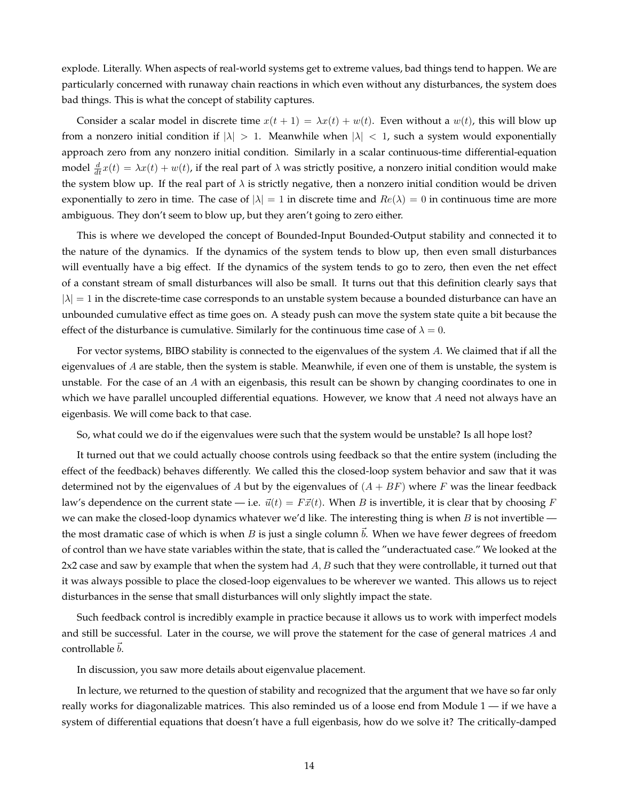explode. Literally. When aspects of real-world systems get to extreme values, bad things tend to happen. We are particularly concerned with runaway chain reactions in which even without any disturbances, the system does bad things. This is what the concept of stability captures.

Consider a scalar model in discrete time  $x(t + 1) = \lambda x(t) + w(t)$ . Even without a  $w(t)$ , this will blow up from a nonzero initial condition if  $|\lambda| > 1$ . Meanwhile when  $|\lambda| < 1$ , such a system would exponentially approach zero from any nonzero initial condition. Similarly in a scalar continuous-time differential-equation model  $\frac{d}{dt}x(t) = \lambda x(t) + w(t)$ , if the real part of  $\lambda$  was strictly positive, a nonzero initial condition would make the system blow up. If the real part of  $\lambda$  is strictly negative, then a nonzero initial condition would be driven exponentially to zero in time. The case of  $|\lambda| = 1$  in discrete time and  $Re(\lambda) = 0$  in continuous time are more ambiguous. They don't seem to blow up, but they aren't going to zero either.

This is where we developed the concept of Bounded-Input Bounded-Output stability and connected it to the nature of the dynamics. If the dynamics of the system tends to blow up, then even small disturbances will eventually have a big effect. If the dynamics of the system tends to go to zero, then even the net effect of a constant stream of small disturbances will also be small. It turns out that this definition clearly says that  $|\lambda| = 1$  in the discrete-time case corresponds to an unstable system because a bounded disturbance can have an unbounded cumulative effect as time goes on. A steady push can move the system state quite a bit because the effect of the disturbance is cumulative. Similarly for the continuous time case of  $\lambda = 0$ .

For vector systems, BIBO stability is connected to the eigenvalues of the system A. We claimed that if all the eigenvalues of  $A$  are stable, then the system is stable. Meanwhile, if even one of them is unstable, the system is unstable. For the case of an A with an eigenbasis, this result can be shown by changing coordinates to one in which we have parallel uncoupled differential equations. However, we know that  $A$  need not always have an eigenbasis. We will come back to that case.

So, what could we do if the eigenvalues were such that the system would be unstable? Is all hope lost?

It turned out that we could actually choose controls using feedback so that the entire system (including the effect of the feedback) behaves differently. We called this the closed-loop system behavior and saw that it was determined not by the eigenvalues of A but by the eigenvalues of  $(A + BF)$  where F was the linear feedback law's dependence on the current state — i.e.  $\vec{u}(t) = F\vec{x}(t)$ . When B is invertible, it is clear that by choosing F we can make the closed-loop dynamics whatever we'd like. The interesting thing is when  $B$  is not invertible the most dramatic case of which is when B is just a single column  $\vec{b}$ . When we have fewer degrees of freedom of control than we have state variables within the state, that is called the "underactuated case." We looked at the  $2x2$  case and saw by example that when the system had  $A, B$  such that they were controllable, it turned out that it was always possible to place the closed-loop eigenvalues to be wherever we wanted. This allows us to reject disturbances in the sense that small disturbances will only slightly impact the state.

Such feedback control is incredibly example in practice because it allows us to work with imperfect models and still be successful. Later in the course, we will prove the statement for the case of general matrices A and controllable  $\vec{b}$ .

In discussion, you saw more details about eigenvalue placement.

In lecture, we returned to the question of stability and recognized that the argument that we have so far only really works for diagonalizable matrices. This also reminded us of a loose end from Module  $1 -$  if we have a system of differential equations that doesn't have a full eigenbasis, how do we solve it? The critically-damped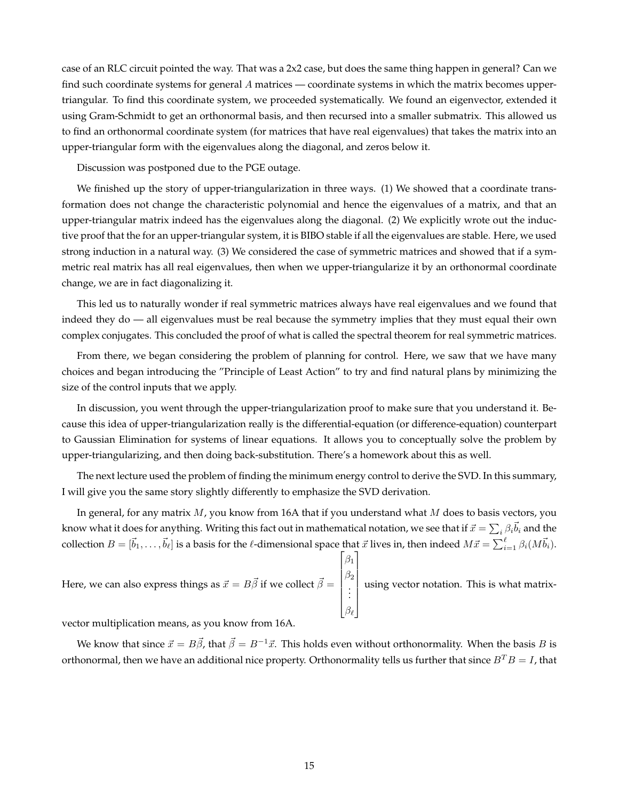case of an RLC circuit pointed the way. That was a 2x2 case, but does the same thing happen in general? Can we find such coordinate systems for general A matrices — coordinate systems in which the matrix becomes uppertriangular. To find this coordinate system, we proceeded systematically. We found an eigenvector, extended it using Gram-Schmidt to get an orthonormal basis, and then recursed into a smaller submatrix. This allowed us to find an orthonormal coordinate system (for matrices that have real eigenvalues) that takes the matrix into an upper-triangular form with the eigenvalues along the diagonal, and zeros below it.

Discussion was postponed due to the PGE outage.

We finished up the story of upper-triangularization in three ways. (1) We showed that a coordinate transformation does not change the characteristic polynomial and hence the eigenvalues of a matrix, and that an upper-triangular matrix indeed has the eigenvalues along the diagonal. (2) We explicitly wrote out the inductive proof that the for an upper-triangular system, it is BIBO stable if all the eigenvalues are stable. Here, we used strong induction in a natural way. (3) We considered the case of symmetric matrices and showed that if a symmetric real matrix has all real eigenvalues, then when we upper-triangularize it by an orthonormal coordinate change, we are in fact diagonalizing it.

This led us to naturally wonder if real symmetric matrices always have real eigenvalues and we found that indeed they do — all eigenvalues must be real because the symmetry implies that they must equal their own complex conjugates. This concluded the proof of what is called the spectral theorem for real symmetric matrices.

From there, we began considering the problem of planning for control. Here, we saw that we have many choices and began introducing the "Principle of Least Action" to try and find natural plans by minimizing the size of the control inputs that we apply.

In discussion, you went through the upper-triangularization proof to make sure that you understand it. Because this idea of upper-triangularization really is the differential-equation (or difference-equation) counterpart to Gaussian Elimination for systems of linear equations. It allows you to conceptually solve the problem by upper-triangularizing, and then doing back-substitution. There's a homework about this as well.

The next lecture used the problem of finding the minimum energy control to derive the SVD. In this summary, I will give you the same story slightly differently to emphasize the SVD derivation.

In general, for any matrix  $M$ , you know from 16A that if you understand what  $M$  does to basis vectors, you know what it does for anything. Writing this fact out in mathematical notation, we see that if  $\vec{x}=\sum_i\beta_i\vec{b}_i$  and the collection  $B=[\vec b_1,\ldots,\vec b_\ell]$  is a basis for the  $\ell$ -dimensional space that  $\vec x$  lives in, then indeed  $M\vec x=\sum_{i=1}^\ell\beta_i(M\vec b_i).$ 

 $\lceil$ 

1

Here, we can also express things as  $\vec{x} = B\vec{\beta}$  if we collect  $\vec{\beta} =$   $\beta_1$  $\beta_2$ . . .  $\beta_\ell$  $\begin{array}{c} \begin{array}{c} \begin{array}{c} \begin{array}{c} \end{array} \\ \end{array} \\ \begin{array}{c} \end{array} \end{array} \end{array}$ using vector notation. This is what matrix-

vector multiplication means, as you know from 16A.

We know that since  $\vec{x} = B\vec{\beta}$ , that  $\vec{\beta} = B^{-1}\vec{x}$ . This holds even without orthonormality. When the basis B is orthonormal, then we have an additional nice property. Orthonormality tells us further that since  $B^T B = I$ , that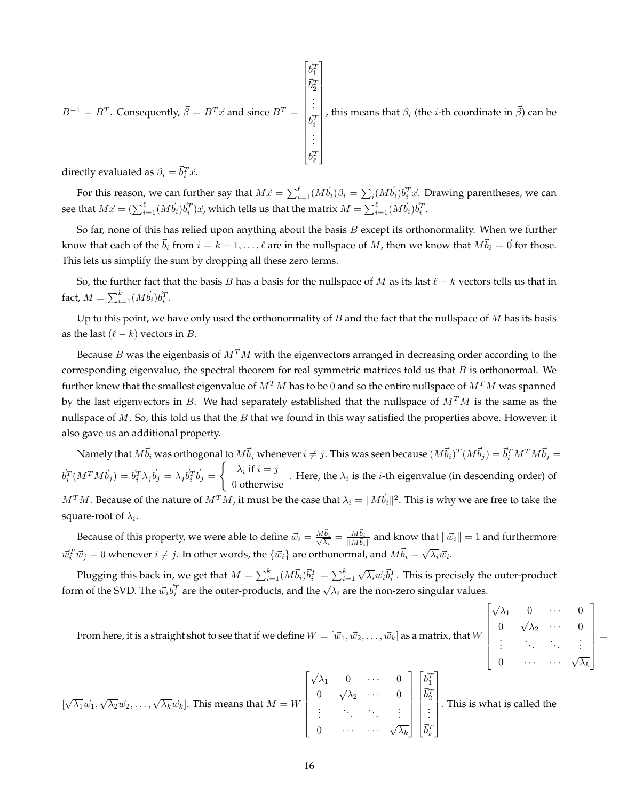$$
B^{-1} = B^{T}.
$$
 Consequently,  $\vec{\beta} = B^{T} \vec{x}$  and since  $B^{T} = \begin{bmatrix} \vec{b}_{1}^{T} \\ \vec{b}_{2}^{T} \\ \vdots \\ \vec{b}_{i}^{T} \\ \vdots \\ \vec{b}_{\ell}^{T} \end{bmatrix}$ , this means that  $\beta_{i}$  (the *i*-th coordinate in  $\vec{\beta}$ ) can be

directly evaluated as  $\beta_i = \vec{b}_i^T \vec{x}$ .

For this reason, we can further say that  $M\vec{x}=\sum_{i=1}^\ell (M\vec{b}_i)\beta_i=\sum_i (M\vec{b}_i)\vec{b}_i^T\vec{x}.$  Drawing parentheses, we can see that  $M\vec{x} = (\sum_{i=1}^{\ell}(M\vec{b}_i)\vec{b}_i^T)\vec{x}$ , which tells us that the matrix  $M = \sum_{i=1}^{\ell}(M\vec{b}_i)\vec{b}_i^T$ .

So far, none of this has relied upon anything about the basis  $B$  except its orthonormality. When we further know that each of the  $\vec{b}_i$  from  $i = k + 1, \ldots, \ell$  are in the nullspace of M, then we know that  $M\vec{b}_i = \vec{0}$  for those. This lets us simplify the sum by dropping all these zero terms.

So, the further fact that the basis B has a basis for the nullspace of M as its last  $\ell - k$  vectors tells us that in fact,  $M = \sum_{i=1}^{k} (M \vec{b}_i) \vec{b}_i^T$ .

Up to this point, we have only used the orthonormality of  $B$  and the fact that the nullspace of  $M$  has its basis as the last  $(\ell - k)$  vectors in B.

Because B was the eigenbasis of  $M<sup>T</sup>M$  with the eigenvectors arranged in decreasing order according to the corresponding eigenvalue, the spectral theorem for real symmetric matrices told us that  $B$  is orthonormal. We further knew that the smallest eigenvalue of  $M^T M$  has to be 0 and so the entire nullspace of  $M^T M$  was spanned by the last eigenvectors in B. We had separately established that the nullspace of  $M<sup>T</sup>M$  is the same as the nullspace of  $M$ . So, this told us that the  $B$  that we found in this way satisfied the properties above. However, it also gave us an additional property.

Namely that  $M\vec b_i$  was orthogonal to  $M\vec b_j$  whenever  $i\ne j$  . This was seen because  $(M\vec b_i)^T(M\vec b_j)=\vec b_i^TM^TM\vec b_j=$  $\vec{b}_i^T(M^TM\vec{b}_j) = \vec{b}_i^T\lambda_j\vec{b}_j = \lambda_j\vec{b}_i^T\vec{b}_j = \begin{cases} \lambda_i \text{ if } i = j\end{cases}$ 0 otherwise . Here, the  $\lambda_i$  is the *i*-th eigenvalue (in descending order) of  $M^TM$ . Because of the nature of  $M^TM$ , it must be the case that  $\lambda_i=\|M\vec{b}_i\|^2.$  This is why we are free to take the square-root of  $\lambda_i.$ 

Because of this property, we were able to define  $\vec{w}_i = \frac{M \vec{b}_i}{\sqrt{\lambda}}$  $\frac{\vec{b_i}}{\overline{\lambda_i}} = \frac{M \vec{b_i}}{\|M \vec{b_i}\|}$  $\frac{M b_i}{\|M\vec{b}_i\|}$  and know that  $\|\vec{w}_i\|=1$  and furthermore  $\vec{w}_i^T \vec{w}_j = 0$  whenever  $i \neq j$ . In other words, the  $\{\vec{w}_i\}$  are orthonormal, and  $M \vec{b}_i = \sqrt{\lambda_i} \vec{w}_i$ .

Plugging this back in, we get that  $M = \sum_{i=1}^k (M \vec{b}_i) \vec{b}_i^T = \sum_{i=1}^k$  $\sqrt{\lambda_i}\vec{w}_i\vec{b}_i^T$ . This is precisely the outer-product form of the SVD. The  $\vec{w_i} \vec{b_i}^T$  are the outer-products, and the  $\sqrt{\lambda_i}$  are the non-zero singular values.

 $\lceil$ 

√

 $\overline{\lambda_1}$  0  $\cdots$  0  $0 \quad \sqrt{\lambda_2} \quad \cdots \quad 0$  1

 =

 $\begin{array}{c} \hline \end{array}$ 

From here, it is a straight shot to see that if we define  $W = [\vec w_1, \vec w_2, \dots, \vec w_k]$  as a matrix, that  $W$ 

From here, it is a straight shot to see that if we define 
$$
W = [w_1, w_2, ..., w_k]
$$
 as a matrix, that  $W$ \n
$$
\begin{bmatrix}\n\sqrt{\lambda_1} & 0 & \cdots & 0 \\
0 & \cdots & \cdots & \sqrt{\lambda_k} \\
\sqrt{\lambda_1} \vec{w_1}, \sqrt{\lambda_2} \vec{w_2}, ..., \sqrt{\lambda_k} \vec{w_k}\n\end{bmatrix}
$$
\nThis means that  $M = W$ \n
$$
\begin{bmatrix}\n\sqrt{\lambda_1} & 0 & \cdots & 0 \\
0 & \sqrt{\lambda_2} & \cdots & 0 \\
\vdots & \ddots & \ddots & \vdots \\
0 & \cdots & \cdots & \sqrt{\lambda_k}\n\end{bmatrix}\n\begin{bmatrix}\n\vec{b}_1^T \\
\vec{b}_2^T \\
\vdots \\
\vec{b}_k^T\n\end{bmatrix}
$$
\nThis is what is called the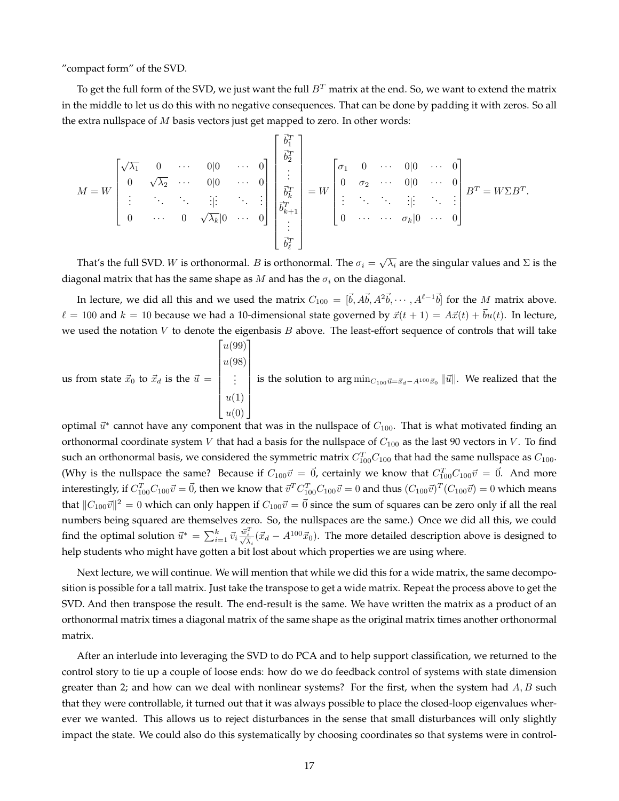"compact form" of the SVD.

To get the full form of the SVD, we just want the full  $B<sup>T</sup>$  matrix at the end. So, we want to extend the matrix in the middle to let us do this with no negative consequences. That can be done by padding it with zeros. So all the extra nullspace of  $M$  basis vectors just get mapped to zero. In other words:

$$
M = W \begin{bmatrix} \sqrt{\lambda_1} & 0 & \cdots & 0 \vert 0 & \cdots & 0 \cr 0 & \sqrt{\lambda_2} & \cdots & 0 \vert 0 & \cdots & 0 \cr \vdots & \ddots & \ddots & \vdots & \ddots & \vdots \cr 0 & \cdots & 0 & \sqrt{\lambda_k} \vert 0 & \cdots & 0 \end{bmatrix} \begin{bmatrix} \vec{b}_1^T \\ \vec{b}_2^T \\ \vdots \\ \vec{b}_k^T \\ \vec{b}_k^T \\ \vdots \\ \vec{b}_\ell^T \end{bmatrix} = W \begin{bmatrix} \sigma_1 & 0 & \cdots & 0 \vert 0 & \cdots & 0 \cr 0 & \sigma_2 & \cdots & 0 \vert 0 & \cdots & 0 \cr 0 & \sigma_2 & \cdots & 0 \vert 0 & \cdots & 0 \cr \vdots & \ddots & \ddots & \vdots & \ddots & \vdots \cr 0 & \cdots & \cdots & \sigma_k \vert 0 & \cdots & 0 \end{bmatrix} B^T = W \Sigma B^T.
$$

That's the full SVD.  $W$  is orthonormal.  $B$  is orthonormal. The  $\sigma_i=\sqrt{\lambda_i}$  are the singular values and  $\Sigma$  is the diagonal matrix that has the same shape as M and has the  $\sigma_i$  on the diagonal.

In lecture, we did all this and we used the matrix  $C_{100} = [\vec{b}, A\vec{b}, A^2\vec{b}, \cdots, A^{\ell-1}\vec{b}]$  for the M matrix above.  $\ell = 100$  and  $k = 10$  because we had a 10-dimensional state governed by  $\vec{x}(t + 1) = A\vec{x}(t) + \vec{b}u(t)$ . In lecture, we used the notation  $V$  to denote the eigenbasis  $B$  above. The least-effort sequence of controls that will take  $\lceil u(99) \rceil$ 

us from state  $\vec{x}_0$  to  $\vec{x}_d$  is the  $\vec{u} =$  $\begin{array}{c} \hline \end{array}$ u(98) . . .  $u(1)$  $u(0)$  is the solution to  $\arg\min_{C_{100} \vec{u} = \vec{x}_d - A^{100}\vec{x}_0} \|\vec{u}\|$ . We realized that the

optimal  $\vec{u}^*$  cannot have any component that was in the nullspace of  $C_{100}$ . That is what motivated finding an orthonormal coordinate system V that had a basis for the nullspace of  $C_{100}$  as the last 90 vectors in V. To find such an orthonormal basis, we considered the symmetric matrix  $C_{100}^T C_{100}$  that had the same nullspace as  $C_{100}$ . (Why is the nullspace the same? Because if  $C_{100}\vec{v} = \vec{0}$ , certainly we know that  $C_{100}^T C_{100}\vec{v} = \vec{0}$ . And more interestingly, if  $C_{100}^T C_{100} \vec{v}=\vec{0}$ , then we know that  $\vec{v}^T C_{100}^T C_{100} \vec{v}=0$  and thus  $(C_{100} \vec{v})^T (C_{100} \vec{v})=0$  which means that  $\|C_{100}\vec{v}\|^2=0$  which can only happen if  $C_{100}\vec{v}=\vec{0}$  since the sum of squares can be zero only if all the real numbers being squared are themselves zero. So, the nullspaces are the same.) Once we did all this, we could find the optimal solution  $\vec{u}^* = \sum_{i=1}^k \vec{v}_i \frac{\vec{w}_i^T}{\sqrt{\lambda_i}} (\vec{x}_d - A^{100}\vec{x}_0)$ . The more detailed description above is designed to help students who might have gotten a bit lost about which properties we are using where.

Next lecture, we will continue. We will mention that while we did this for a wide matrix, the same decomposition is possible for a tall matrix. Just take the transpose to get a wide matrix. Repeat the process above to get the SVD. And then transpose the result. The end-result is the same. We have written the matrix as a product of an orthonormal matrix times a diagonal matrix of the same shape as the original matrix times another orthonormal matrix.

After an interlude into leveraging the SVD to do PCA and to help support classification, we returned to the control story to tie up a couple of loose ends: how do we do feedback control of systems with state dimension greater than 2; and how can we deal with nonlinear systems? For the first, when the system had  $A, B$  such that they were controllable, it turned out that it was always possible to place the closed-loop eigenvalues wherever we wanted. This allows us to reject disturbances in the sense that small disturbances will only slightly impact the state. We could also do this systematically by choosing coordinates so that systems were in control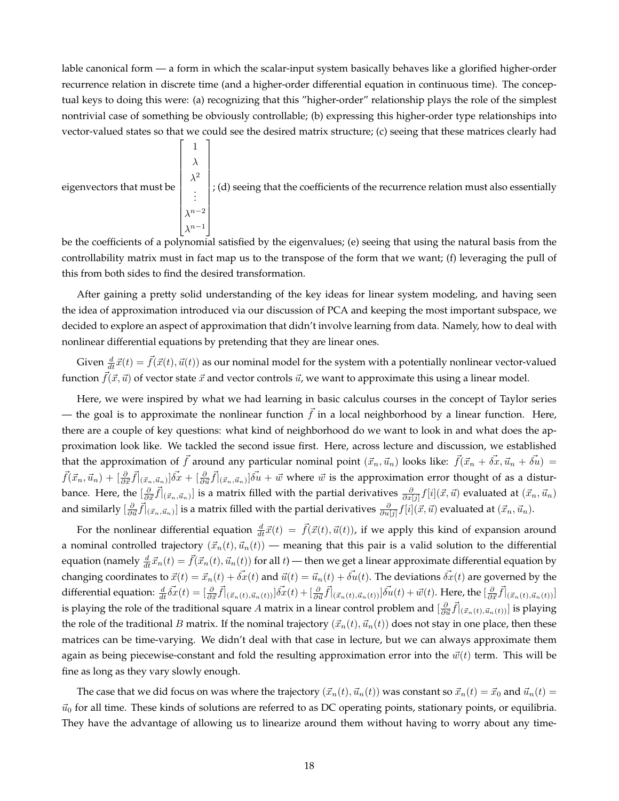lable canonical form — a form in which the scalar-input system basically behaves like a glorified higher-order recurrence relation in discrete time (and a higher-order differential equation in continuous time). The conceptual keys to doing this were: (a) recognizing that this "higher-order" relationship plays the role of the simplest nontrivial case of something be obviously controllable; (b) expressing this higher-order type relationships into vector-valued states so that we could see the desired matrix structure; (c) seeing that these matrices clearly had

eigenvectors that must be 
$$
\begin{bmatrix} 1 \\ \lambda^2 \\ \vdots \\ \lambda^{n-2} \\ \lambda^{n-1} \end{bmatrix}
$$
; (d) seeing that the coefficients of the recurrence relation must also essentially

be the coefficients of a polynomial satisfied by the eigenvalues; (e) seeing that using the natural basis from the controllability matrix must in fact map us to the transpose of the form that we want; (f) leveraging the pull of this from both sides to find the desired transformation.

After gaining a pretty solid understanding of the key ideas for linear system modeling, and having seen the idea of approximation introduced via our discussion of PCA and keeping the most important subspace, we decided to explore an aspect of approximation that didn't involve learning from data. Namely, how to deal with nonlinear differential equations by pretending that they are linear ones.

Given  $\frac{d}{dt}\vec{x}(t) = \vec{f}(\vec{x}(t), \vec{u}(t))$  as our nominal model for the system with a potentially nonlinear vector-valued function  $\vec{f}(\vec{x}, \vec{u})$  of vector state  $\vec{x}$  and vector controls  $\vec{u}$ , we want to approximate this using a linear model.

Here, we were inspired by what we had learning in basic calculus courses in the concept of Taylor series — the goal is to approximate the nonlinear function  $\tilde{f}$  in a local neighborhood by a linear function. Here, there are a couple of key questions: what kind of neighborhood do we want to look in and what does the approximation look like. We tackled the second issue first. Here, across lecture and discussion, we established that the approximation of  $\vec{f}$  around any particular nominal point  $(\vec{x}_n, \vec{u}_n)$  looks like:  $\vec{f}(\vec{x}_n + \vec{\delta x}, \vec{u}_n + \vec{\delta u}) =$  $\vec{f}(\vec{x}_n,\vec{u}_n)+[\frac{\partial}{\partial \vec{x}}\vec{f}]_{(\vec{x}_n,\vec{u}_n)}]\vec{\delta x}+[\frac{\partial}{\partial \vec{u}}\vec{f}]_{(\vec{x}_n,\vec{u}_n)}]\vec{\delta u}+\vec{w}$  where  $\vec{w}$  is the approximation error thought of as a disturbance. Here, the  $[\frac{\partial}{\partial \vec{x}}\vec{f}]_{(\vec{x}_n,\vec{u}_n)}]$  is a matrix filled with the partial derivatives  $\frac{\partial}{\partial x[j]}f[i](\vec{x},\vec{u})$  evaluated at  $(\vec{x}_n,\vec{u}_n)$ and similarly  $[\frac{\partial}{\partial \vec{u}}\vec{f}]_{(\vec{x}_n,\vec{u}_n)}]$  is a matrix filled with the partial derivatives  $\frac{\partial}{\partial u[j]}f[i](\vec{x},\vec{u})$  evaluated at  $(\vec{x}_n,\vec{u}_n)$ .

For the nonlinear differential equation  $\frac{d}{dt}\vec{x}(t) = \vec{f}(\vec{x}(t), \vec{u}(t))$ , if we apply this kind of expansion around a nominal controlled trajectory  $(\vec{x}_n(t), \vec{u}_n(t))$  — meaning that this pair is a valid solution to the differential equation (namely  $\frac{d}{dt}\vec{x}_n(t) = \vec{f}(\vec{x}_n(t), \vec{u}_n(t))$  for all  $t$ ) — then we get a linear approximate differential equation by changing coordinates to  $\vec{x}(t) = \vec{x}_n(t) + \vec{\delta x}(t)$  and  $\vec{u}(t) = \vec{u}_n(t) + \vec{\delta u}(t)$ . The deviations  $\vec{\delta x}(t)$  are governed by the differential equation:  $\frac{d}{dt}\vec{\delta x}(t) = [\frac{\partial}{\partial \vec{x}}\vec{f}]_{(\vec{x}_n(t),\vec{u}_n(t))}]\vec{\delta x}(t) + [\frac{\partial}{\partial \vec{u}}\vec{f}]_{(\vec{x}_n(t),\vec{u}_n(t))}]\vec{\delta u}(t) + \vec{w}(t)$ . Here, the  $[\frac{\partial}{\partial \vec{x}}\vec{f}]_{(\vec{x}_n(t),\vec{u}_n(t))}]$ is playing the role of the traditional square  $A$  matrix in a linear control problem and  $[\frac{\partial}{\partial \vec{u}}\vec{f}]_{(\vec{x}_n(t),\vec{u}_n(t))}]$  is playing the role of the traditional B matrix. If the nominal trajectory  $(\vec{x}_n(t), \vec{u}_n(t))$  does not stay in one place, then these matrices can be time-varying. We didn't deal with that case in lecture, but we can always approximate them again as being piecewise-constant and fold the resulting approximation error into the  $\vec{w}(t)$  term. This will be fine as long as they vary slowly enough.

The case that we did focus on was where the trajectory  $(\vec{x}_n(t), \vec{u}_n(t))$  was constant so  $\vec{x}_n(t) = \vec{x}_0$  and  $\vec{u}_n(t) =$  $\vec{u}_0$  for all time. These kinds of solutions are referred to as DC operating points, stationary points, or equilibria. They have the advantage of allowing us to linearize around them without having to worry about any time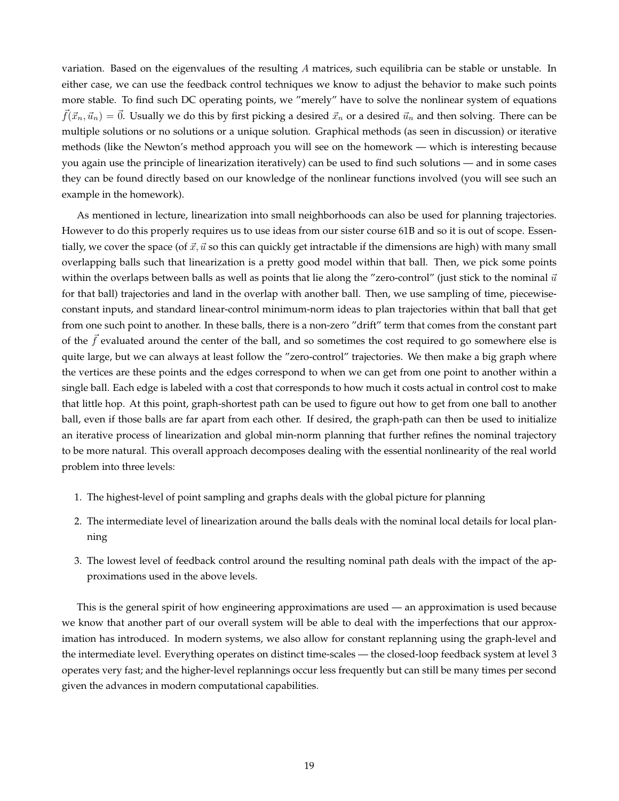variation. Based on the eigenvalues of the resulting A matrices, such equilibria can be stable or unstable. In either case, we can use the feedback control techniques we know to adjust the behavior to make such points more stable. To find such DC operating points, we "merely" have to solve the nonlinear system of equations  $\vec{f}(\vec{x}_n, \vec{u}_n) = \vec{0}$ . Usually we do this by first picking a desired  $\vec{x}_n$  or a desired  $\vec{u}_n$  and then solving. There can be multiple solutions or no solutions or a unique solution. Graphical methods (as seen in discussion) or iterative methods (like the Newton's method approach you will see on the homework — which is interesting because you again use the principle of linearization iteratively) can be used to find such solutions — and in some cases they can be found directly based on our knowledge of the nonlinear functions involved (you will see such an example in the homework).

As mentioned in lecture, linearization into small neighborhoods can also be used for planning trajectories. However to do this properly requires us to use ideas from our sister course 61B and so it is out of scope. Essentially, we cover the space (of  $\vec{x}$ ,  $\vec{u}$  so this can quickly get intractable if the dimensions are high) with many small overlapping balls such that linearization is a pretty good model within that ball. Then, we pick some points within the overlaps between balls as well as points that lie along the "zero-control" (just stick to the nominal  $\vec{u}$ for that ball) trajectories and land in the overlap with another ball. Then, we use sampling of time, piecewiseconstant inputs, and standard linear-control minimum-norm ideas to plan trajectories within that ball that get from one such point to another. In these balls, there is a non-zero "drift" term that comes from the constant part of the  $\vec{f}$  evaluated around the center of the ball, and so sometimes the cost required to go somewhere else is quite large, but we can always at least follow the "zero-control" trajectories. We then make a big graph where the vertices are these points and the edges correspond to when we can get from one point to another within a single ball. Each edge is labeled with a cost that corresponds to how much it costs actual in control cost to make that little hop. At this point, graph-shortest path can be used to figure out how to get from one ball to another ball, even if those balls are far apart from each other. If desired, the graph-path can then be used to initialize an iterative process of linearization and global min-norm planning that further refines the nominal trajectory to be more natural. This overall approach decomposes dealing with the essential nonlinearity of the real world problem into three levels:

- 1. The highest-level of point sampling and graphs deals with the global picture for planning
- 2. The intermediate level of linearization around the balls deals with the nominal local details for local planning
- 3. The lowest level of feedback control around the resulting nominal path deals with the impact of the approximations used in the above levels.

This is the general spirit of how engineering approximations are used — an approximation is used because we know that another part of our overall system will be able to deal with the imperfections that our approximation has introduced. In modern systems, we also allow for constant replanning using the graph-level and the intermediate level. Everything operates on distinct time-scales — the closed-loop feedback system at level 3 operates very fast; and the higher-level replannings occur less frequently but can still be many times per second given the advances in modern computational capabilities.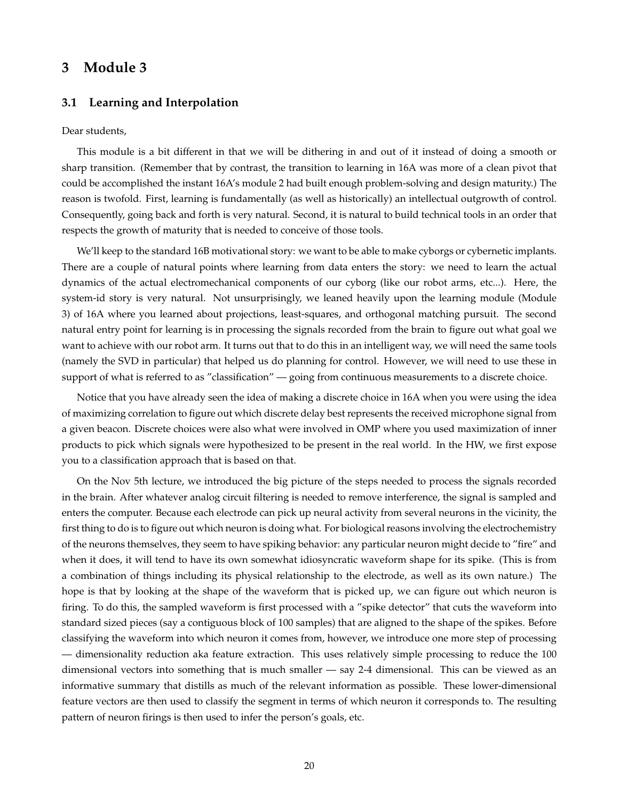## **3 Module 3**

#### **3.1 Learning and Interpolation**

#### Dear students,

This module is a bit different in that we will be dithering in and out of it instead of doing a smooth or sharp transition. (Remember that by contrast, the transition to learning in 16A was more of a clean pivot that could be accomplished the instant 16A's module 2 had built enough problem-solving and design maturity.) The reason is twofold. First, learning is fundamentally (as well as historically) an intellectual outgrowth of control. Consequently, going back and forth is very natural. Second, it is natural to build technical tools in an order that respects the growth of maturity that is needed to conceive of those tools.

We'll keep to the standard 16B motivational story: we want to be able to make cyborgs or cybernetic implants. There are a couple of natural points where learning from data enters the story: we need to learn the actual dynamics of the actual electromechanical components of our cyborg (like our robot arms, etc...). Here, the system-id story is very natural. Not unsurprisingly, we leaned heavily upon the learning module (Module 3) of 16A where you learned about projections, least-squares, and orthogonal matching pursuit. The second natural entry point for learning is in processing the signals recorded from the brain to figure out what goal we want to achieve with our robot arm. It turns out that to do this in an intelligent way, we will need the same tools (namely the SVD in particular) that helped us do planning for control. However, we will need to use these in support of what is referred to as "classification" — going from continuous measurements to a discrete choice.

Notice that you have already seen the idea of making a discrete choice in 16A when you were using the idea of maximizing correlation to figure out which discrete delay best represents the received microphone signal from a given beacon. Discrete choices were also what were involved in OMP where you used maximization of inner products to pick which signals were hypothesized to be present in the real world. In the HW, we first expose you to a classification approach that is based on that.

On the Nov 5th lecture, we introduced the big picture of the steps needed to process the signals recorded in the brain. After whatever analog circuit filtering is needed to remove interference, the signal is sampled and enters the computer. Because each electrode can pick up neural activity from several neurons in the vicinity, the first thing to do is to figure out which neuron is doing what. For biological reasons involving the electrochemistry of the neurons themselves, they seem to have spiking behavior: any particular neuron might decide to "fire" and when it does, it will tend to have its own somewhat idiosyncratic waveform shape for its spike. (This is from a combination of things including its physical relationship to the electrode, as well as its own nature.) The hope is that by looking at the shape of the waveform that is picked up, we can figure out which neuron is firing. To do this, the sampled waveform is first processed with a "spike detector" that cuts the waveform into standard sized pieces (say a contiguous block of 100 samples) that are aligned to the shape of the spikes. Before classifying the waveform into which neuron it comes from, however, we introduce one more step of processing — dimensionality reduction aka feature extraction. This uses relatively simple processing to reduce the 100 dimensional vectors into something that is much smaller — say 2-4 dimensional. This can be viewed as an informative summary that distills as much of the relevant information as possible. These lower-dimensional feature vectors are then used to classify the segment in terms of which neuron it corresponds to. The resulting pattern of neuron firings is then used to infer the person's goals, etc.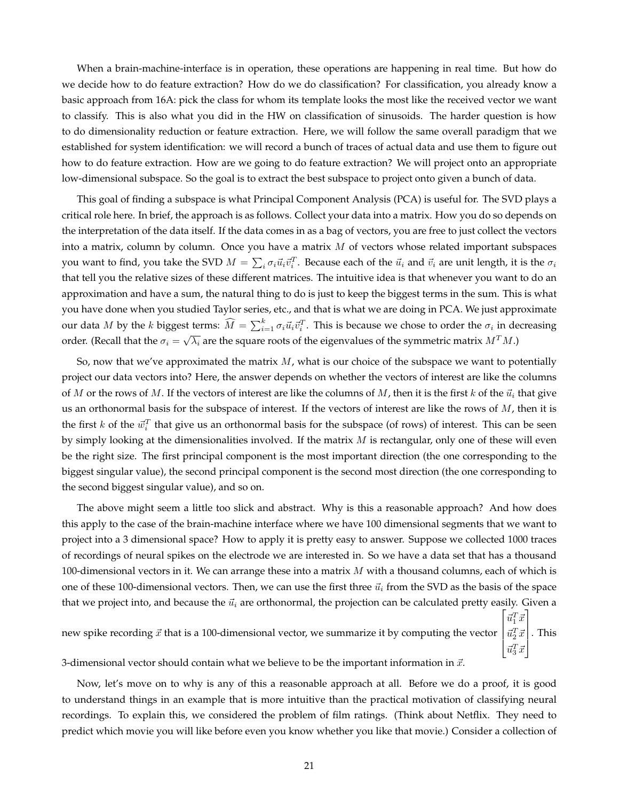When a brain-machine-interface is in operation, these operations are happening in real time. But how do we decide how to do feature extraction? How do we do classification? For classification, you already know a basic approach from 16A: pick the class for whom its template looks the most like the received vector we want to classify. This is also what you did in the HW on classification of sinusoids. The harder question is how to do dimensionality reduction or feature extraction. Here, we will follow the same overall paradigm that we established for system identification: we will record a bunch of traces of actual data and use them to figure out how to do feature extraction. How are we going to do feature extraction? We will project onto an appropriate low-dimensional subspace. So the goal is to extract the best subspace to project onto given a bunch of data.

This goal of finding a subspace is what Principal Component Analysis (PCA) is useful for. The SVD plays a critical role here. In brief, the approach is as follows. Collect your data into a matrix. How you do so depends on the interpretation of the data itself. If the data comes in as a bag of vectors, you are free to just collect the vectors into a matrix, column by column. Once you have a matrix  $M$  of vectors whose related important subspaces you want to find, you take the SVD  $M=\sum_i\sigma_i\vec{u}_i\vec{v}_i^T$ . Because each of the  $\vec{u}_i$  and  $\vec{v}_i$  are unit length, it is the  $\sigma_i$ that tell you the relative sizes of these different matrices. The intuitive idea is that whenever you want to do an approximation and have a sum, the natural thing to do is just to keep the biggest terms in the sum. This is what you have done when you studied Taylor series, etc., and that is what we are doing in PCA. We just approximate our data M by the k biggest terms:  $\widehat{M} = \sum_{i=1}^k \sigma_i \vec{u}_i \vec{v}_i^T$ . This is because we chose to order the  $\sigma_i$  in decreasing order. (Recall that the  $\sigma_i = \sqrt{\lambda_i}$  are the square roots of the eigenvalues of the symmetric matrix  $M^T M$ .)

So, now that we've approximated the matrix  $M$ , what is our choice of the subspace we want to potentially project our data vectors into? Here, the answer depends on whether the vectors of interest are like the columns of M or the rows of M. If the vectors of interest are like the columns of M, then it is the first k of the  $\vec{u}_i$  that give us an orthonormal basis for the subspace of interest. If the vectors of interest are like the rows of  $M$ , then it is the first k of the  $\vec{w}_i^T$  that give us an orthonormal basis for the subspace (of rows) of interest. This can be seen by simply looking at the dimensionalities involved. If the matrix  $M$  is rectangular, only one of these will even be the right size. The first principal component is the most important direction (the one corresponding to the biggest singular value), the second principal component is the second most direction (the one corresponding to the second biggest singular value), and so on.

The above might seem a little too slick and abstract. Why is this a reasonable approach? And how does this apply to the case of the brain-machine interface where we have 100 dimensional segments that we want to project into a 3 dimensional space? How to apply it is pretty easy to answer. Suppose we collected 1000 traces of recordings of neural spikes on the electrode we are interested in. So we have a data set that has a thousand 100-dimensional vectors in it. We can arrange these into a matrix  $M$  with a thousand columns, each of which is one of these 100-dimensional vectors. Then, we can use the first three  $\vec{u}_i$  from the SVD as the basis of the space that we project into, and because the  $\vec{u}_i$  are orthonormal, the projection can be calculated pretty easily. Given a new spike recording  $\vec{x}$  that is a 100-dimensional vector, we summarize it by computing the vector  $\left|\vec{u}_2^T\vec{x}\right|$ . This  $\left\lceil \vec{u}_1^T \vec{x} \right\rceil$ 

3-dimensional vector should contain what we believe to be the important information in  $\vec{x}$ .

Now, let's move on to why is any of this a reasonable approach at all. Before we do a proof, it is good to understand things in an example that is more intuitive than the practical motivation of classifying neural recordings. To explain this, we considered the problem of film ratings. (Think about Netflix. They need to predict which movie you will like before even you know whether you like that movie.) Consider a collection of

 $\left| \vec{u}_3^T \vec{x} \right|$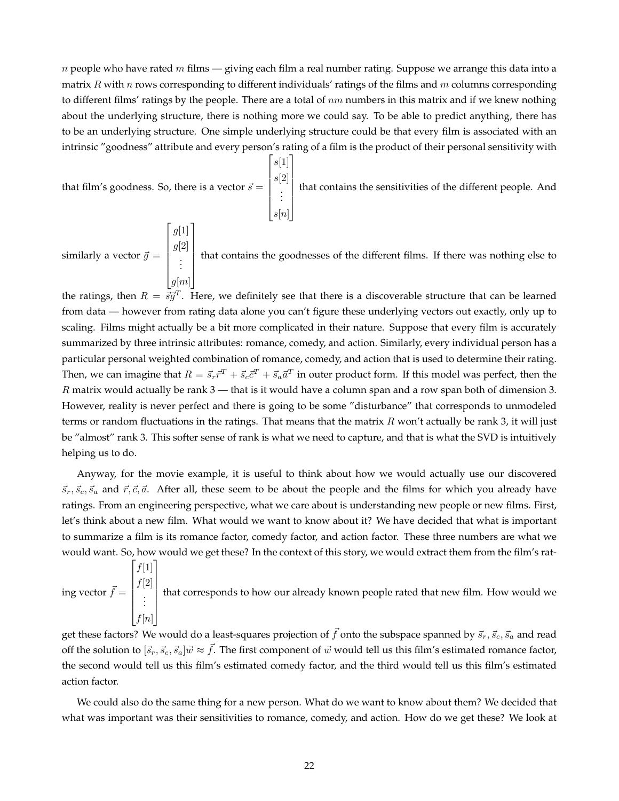n people who have rated m films — giving each film a real number rating. Suppose we arrange this data into a matrix R with n rows corresponding to different individuals' ratings of the films and m columns corresponding to different films' ratings by the people. There are a total of  $nm$  numbers in this matrix and if we knew nothing about the underlying structure, there is nothing more we could say. To be able to predict anything, there has to be an underlying structure. One simple underlying structure could be that every film is associated with an intrinsic "goodness" attribute and every person's rating of a film is the product of their personal sensitivity with

 $\lceil$ 

 $s[1]$  $s[2]$ . . .  $s[n]$ 

1

that film's goodness. So, there is a vector  $\vec{s} =$ 

 $\lceil$ 

 $g[1]$ 

1

 that contains the sensitivities of the different people. And

similarly a vector  $\vec{g} =$   $g[2]$ . . .  $g[m]$  that contains the goodnesses of the different films. If there was nothing else to

the ratings, then  $R = \vec{s}\vec{g}^T$ . Here, we definitely see that there is a discoverable structure that can be learned from data — however from rating data alone you can't figure these underlying vectors out exactly, only up to scaling. Films might actually be a bit more complicated in their nature. Suppose that every film is accurately summarized by three intrinsic attributes: romance, comedy, and action. Similarly, every individual person has a particular personal weighted combination of romance, comedy, and action that is used to determine their rating. Then, we can imagine that  $R = \vec{s}_r \vec{r}^T + \vec{s}_c \vec{c}^T + \vec{s}_a \vec{a}^T$  in outer product form. If this model was perfect, then the  $R$  matrix would actually be rank  $3$  — that is it would have a column span and a row span both of dimension 3. However, reality is never perfect and there is going to be some "disturbance" that corresponds to unmodeled terms or random fluctuations in the ratings. That means that the matrix  $R$  won't actually be rank 3, it will just be "almost" rank 3. This softer sense of rank is what we need to capture, and that is what the SVD is intuitively helping us to do.

Anyway, for the movie example, it is useful to think about how we would actually use our discovered  $\vec{s}_r, \vec{s}_c, \vec{s}_a$  and  $\vec{r}, \vec{c}, \vec{a}$ . After all, these seem to be about the people and the films for which you already have ratings. From an engineering perspective, what we care about is understanding new people or new films. First, let's think about a new film. What would we want to know about it? We have decided that what is important to summarize a film is its romance factor, comedy factor, and action factor. These three numbers are what we would want. So, how would we get these? In the context of this story, we would extract them from the film's rat-

ing vector  $\vec{f} =$  $\lceil$   $f[1]$  $f[2]$ . . .  $f[n]$ 1 that corresponds to how our already known people rated that new film. How would we

get these factors? We would do a least-squares projection of  $\vec{f}$  onto the subspace spanned by  $\vec{s}_r, \vec{s}_c, \vec{s}_a$  and read off the solution to  $[\vec{s}_r, \vec{s}_c, \vec{s}_a] \vec{w} \approx \vec{f}$ . The first component of  $\vec{w}$  would tell us this film's estimated romance factor, the second would tell us this film's estimated comedy factor, and the third would tell us this film's estimated action factor.

We could also do the same thing for a new person. What do we want to know about them? We decided that what was important was their sensitivities to romance, comedy, and action. How do we get these? We look at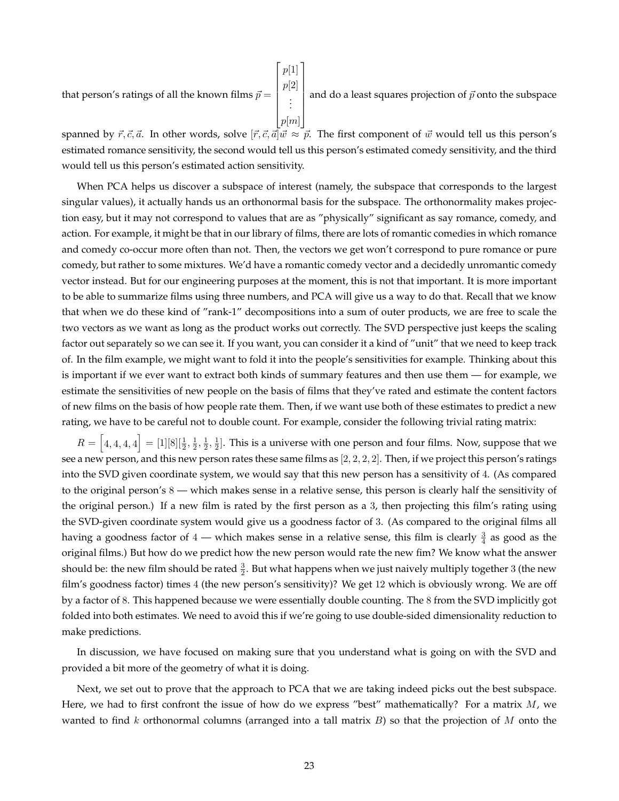that person's ratings of all the known films  $\vec{p} =$  $\lceil$   $p[1]$  $p[2]$ . . .  $p[m]$ 1  $\begin{array}{c} \hline \end{array}$ and do a least squares projection of  $\vec{p}$  onto the subspace

spanned by  $\vec{r}, \vec{c}, \vec{a}$ . In other words, solve  $[\vec{r}, \vec{c}, \vec{a}] \vec{w} \approx \vec{p}$ . The first component of  $\vec{w}$  would tell us this person's estimated romance sensitivity, the second would tell us this person's estimated comedy sensitivity, and the third would tell us this person's estimated action sensitivity.

When PCA helps us discover a subspace of interest (namely, the subspace that corresponds to the largest singular values), it actually hands us an orthonormal basis for the subspace. The orthonormality makes projection easy, but it may not correspond to values that are as "physically" significant as say romance, comedy, and action. For example, it might be that in our library of films, there are lots of romantic comedies in which romance and comedy co-occur more often than not. Then, the vectors we get won't correspond to pure romance or pure comedy, but rather to some mixtures. We'd have a romantic comedy vector and a decidedly unromantic comedy vector instead. But for our engineering purposes at the moment, this is not that important. It is more important to be able to summarize films using three numbers, and PCA will give us a way to do that. Recall that we know that when we do these kind of "rank-1" decompositions into a sum of outer products, we are free to scale the two vectors as we want as long as the product works out correctly. The SVD perspective just keeps the scaling factor out separately so we can see it. If you want, you can consider it a kind of "unit" that we need to keep track of. In the film example, we might want to fold it into the people's sensitivities for example. Thinking about this is important if we ever want to extract both kinds of summary features and then use them — for example, we estimate the sensitivities of new people on the basis of films that they've rated and estimate the content factors of new films on the basis of how people rate them. Then, if we want use both of these estimates to predict a new rating, we have to be careful not to double count. For example, consider the following trivial rating matrix:

 $R = \left[4, 4, 4, 4\right] = [1][8][\frac{1}{2}, \frac{1}{2}, \frac{1}{2}, \frac{1}{2}].$  This is a universe with one person and four films. Now, suppose that we see a new person, and this new person rates these same films as  $[2, 2, 2, 2].$  Then, if we project this person's ratings into the SVD given coordinate system, we would say that this new person has a sensitivity of 4. (As compared to the original person's 8 — which makes sense in a relative sense, this person is clearly half the sensitivity of the original person.) If a new film is rated by the first person as a 3, then projecting this film's rating using the SVD-given coordinate system would give us a goodness factor of 3. (As compared to the original films all having a goodness factor of  $4$  — which makes sense in a relative sense, this film is clearly  $\frac{3}{4}$  as good as the original films.) But how do we predict how the new person would rate the new fim? We know what the answer should be: the new film should be rated  $\frac{3}{2}$ . But what happens when we just naively multiply together  $3$  (the new film's goodness factor) times 4 (the new person's sensitivity)? We get 12 which is obviously wrong. We are off by a factor of 8. This happened because we were essentially double counting. The 8 from the SVD implicitly got folded into both estimates. We need to avoid this if we're going to use double-sided dimensionality reduction to make predictions.

In discussion, we have focused on making sure that you understand what is going on with the SVD and provided a bit more of the geometry of what it is doing.

Next, we set out to prove that the approach to PCA that we are taking indeed picks out the best subspace. Here, we had to first confront the issue of how do we express "best" mathematically? For a matrix  $M$ , we wanted to find k orthonormal columns (arranged into a tall matrix  $B$ ) so that the projection of M onto the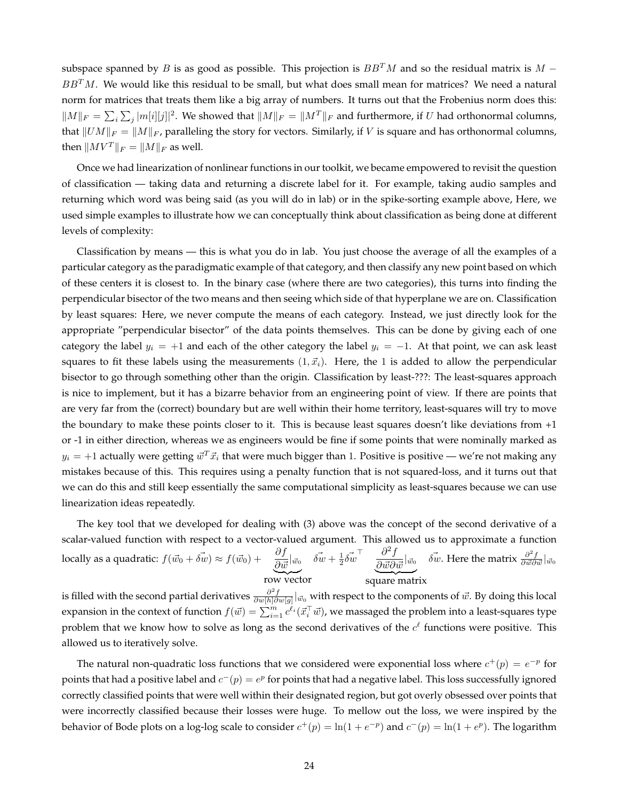subspace spanned by B is as good as possible. This projection is  $BB^T M$  and so the residual matrix is  $M BB<sup>T</sup>M$ . We would like this residual to be small, but what does small mean for matrices? We need a natural norm for matrices that treats them like a big array of numbers. It turns out that the Frobenius norm does this:  $||M||_F = \sum_i \sum_j |m[i][j]|^2$ . We showed that  $||M||_F = ||M^T||_F$  and furthermore, if U had orthonormal columns, that  $||UM||_F = ||M||_F$ , paralleling the story for vectors. Similarly, if V is square and has orthonormal columns, then  $\|MV^T\|_F = \|M\|_F$  as well.

Once we had linearization of nonlinear functions in our toolkit, we became empowered to revisit the question of classification — taking data and returning a discrete label for it. For example, taking audio samples and returning which word was being said (as you will do in lab) or in the spike-sorting example above, Here, we used simple examples to illustrate how we can conceptually think about classification as being done at different levels of complexity:

Classification by means — this is what you do in lab. You just choose the average of all the examples of a particular category as the paradigmatic example of that category, and then classify any new point based on which of these centers it is closest to. In the binary case (where there are two categories), this turns into finding the perpendicular bisector of the two means and then seeing which side of that hyperplane we are on. Classification by least squares: Here, we never compute the means of each category. Instead, we just directly look for the appropriate "perpendicular bisector" of the data points themselves. This can be done by giving each of one category the label  $y_i = +1$  and each of the other category the label  $y_i = -1$ . At that point, we can ask least squares to fit these labels using the measurements  $(1, \vec{x}_i)$ . Here, the 1 is added to allow the perpendicular bisector to go through something other than the origin. Classification by least-???: The least-squares approach is nice to implement, but it has a bizarre behavior from an engineering point of view. If there are points that are very far from the (correct) boundary but are well within their home territory, least-squares will try to move the boundary to make these points closer to it. This is because least squares doesn't like deviations from +1 or -1 in either direction, whereas we as engineers would be fine if some points that were nominally marked as  $y_i = +1$  actually were getting  $\vec{w}^T\vec{x}_i$  that were much bigger than 1. Positive is positive — we're not making any mistakes because of this. This requires using a penalty function that is not squared-loss, and it turns out that we can do this and still keep essentially the same computational simplicity as least-squares because we can use linearization ideas repeatedly.

The key tool that we developed for dealing with (3) above was the concept of the second derivative of a scalar-valued function with respect to a vector-valued argument. This allowed us to approximate a function locally as a quadratic:  $f(\vec{w_0} + \vec{\delta w}) \approx f(\vec{w_0}) + \frac{\partial f}{\partial \vec{w}}|_{\vec{w_0}}$ row vector  $\vec{\delta w} + \frac{1}{2} \vec{\delta w}^\top \quad \frac{\partial^2 f}{\partial \vec{w} \partial \vec{w}}|_{\vec{w}_0}$ square matrix  $\vec{\delta w}$ . Here the matrix  $\frac{\partial^2 f}{\partial \vec{w} \partial \vec{w}}|_{\vec{w}_0}$ 

is filled with the second partial derivatives  $\frac{\partial^2 f}{\partial w[h]\partial w[g]}|_{\vec w_0}$  with respect to the components of  $\vec w$ . By doing this local 2 expansion in the context of function  $f(\vec{w}) = \sum_{i=1}^m c^{\ell_i}(\vec{x}_i^\top \vec{w})$ , we massaged the problem into a least-squares type problem that we know how to solve as long as the second derivatives of the  $c^{\ell}$  functions were positive. This allowed us to iteratively solve.

The natural non-quadratic loss functions that we considered were exponential loss where  $c^+(p) = e^{-p}$  for points that had a positive label and  $c^-(p) = e^p$  for points that had a negative label. This loss successfully ignored correctly classified points that were well within their designated region, but got overly obsessed over points that were incorrectly classified because their losses were huge. To mellow out the loss, we were inspired by the behavior of Bode plots on a log-log scale to consider  $c^+(p) = \ln(1 + e^{-p})$  and  $c^-(p) = \ln(1 + e^p)$ . The logarithm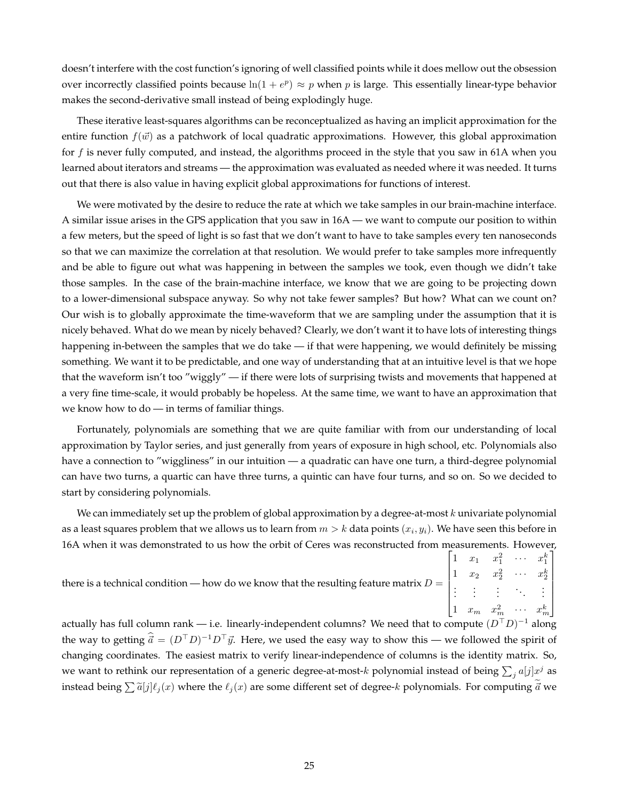doesn't interfere with the cost function's ignoring of well classified points while it does mellow out the obsession over incorrectly classified points because  $ln(1 + e^p) \approx p$  when p is large. This essentially linear-type behavior makes the second-derivative small instead of being explodingly huge.

These iterative least-squares algorithms can be reconceptualized as having an implicit approximation for the entire function  $f(\vec{w})$  as a patchwork of local quadratic approximations. However, this global approximation for f is never fully computed, and instead, the algorithms proceed in the style that you saw in 61A when you learned about iterators and streams — the approximation was evaluated as needed where it was needed. It turns out that there is also value in having explicit global approximations for functions of interest.

We were motivated by the desire to reduce the rate at which we take samples in our brain-machine interface. A similar issue arises in the GPS application that you saw in 16A — we want to compute our position to within a few meters, but the speed of light is so fast that we don't want to have to take samples every ten nanoseconds so that we can maximize the correlation at that resolution. We would prefer to take samples more infrequently and be able to figure out what was happening in between the samples we took, even though we didn't take those samples. In the case of the brain-machine interface, we know that we are going to be projecting down to a lower-dimensional subspace anyway. So why not take fewer samples? But how? What can we count on? Our wish is to globally approximate the time-waveform that we are sampling under the assumption that it is nicely behaved. What do we mean by nicely behaved? Clearly, we don't want it to have lots of interesting things happening in-between the samples that we do take — if that were happening, we would definitely be missing something. We want it to be predictable, and one way of understanding that at an intuitive level is that we hope that the waveform isn't too "wiggly" — if there were lots of surprising twists and movements that happened at a very fine time-scale, it would probably be hopeless. At the same time, we want to have an approximation that we know how to do — in terms of familiar things.

Fortunately, polynomials are something that we are quite familiar with from our understanding of local approximation by Taylor series, and just generally from years of exposure in high school, etc. Polynomials also have a connection to "wiggliness" in our intuition — a quadratic can have one turn, a third-degree polynomial can have two turns, a quartic can have three turns, a quintic can have four turns, and so on. So we decided to start by considering polynomials.

We can immediately set up the problem of global approximation by a degree-at-most  $k$  univariate polynomial as a least squares problem that we allows us to learn from  $m>k$  data points  $(x_i,y_i).$  We have seen this before in 16A when it was demonstrated to us how the orbit of Ceres was reconstructed from measurements. However,

| there is a technical condition — how do we know that the resulting feature matrix $D = \begin{bmatrix} 1 & x_1 & x_1^2 & \cdots & x_1^k \\ 1 & x_2 & x_2^2 & \cdots & x_2^k \\ \vdots & \vdots & \vdots & \ddots & \vdots \\ 1 & x_m & x_m^2 & \cdots & x_m^k \end{bmatrix}$ |  |  |  |
|------------------------------------------------------------------------------------------------------------------------------------------------------------------------------------------------------------------------------------------------------------------------------|--|--|--|
|                                                                                                                                                                                                                                                                              |  |  |  |
|                                                                                                                                                                                                                                                                              |  |  |  |
|                                                                                                                                                                                                                                                                              |  |  |  |
|                                                                                                                                                                                                                                                                              |  |  |  |

actually has full column rank — i.e. linearly-independent columns? We need that to compute  $(D^\top D)^{-1}$  along the way to getting  $\hat{\vec{a}} = (D^{\top}D)^{-1}D^{\top}\vec{y}$ . Here, we used the easy way to show this — we followed the spirit of changing coordinates. The easiest matrix to verify linear-independence of columns is the identity matrix. So, we want to rethink our representation of a generic degree-at-most- $k$  polynomial instead of being  $\sum_j a[j]x^j$  as instead being  $\sum \tilde{a}[j] \ell_j (x)$  where the  $\ell_j (x)$  are some different set of degree-k polynomials. For computing  $\vec{a}$  we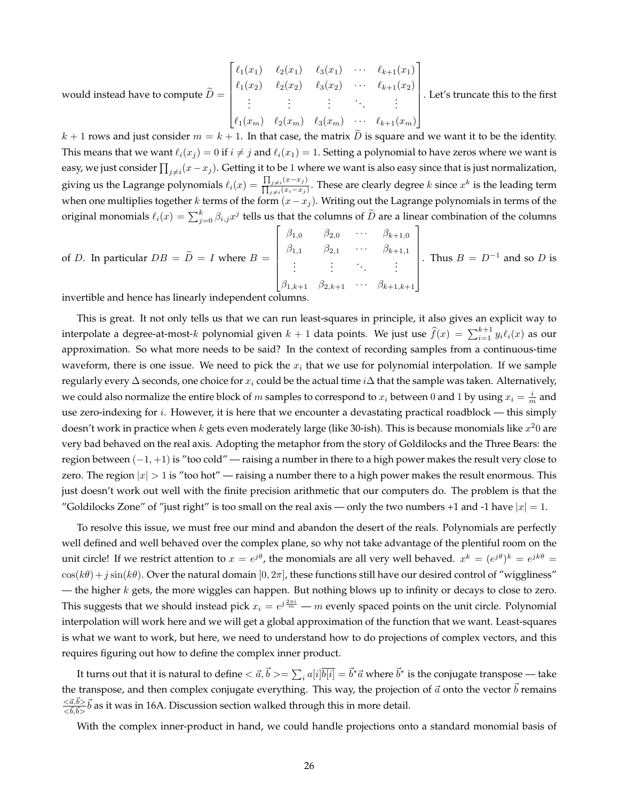would instead have to compute 
$$
\widetilde{D} = \begin{bmatrix} \ell_1(x_1) & \ell_2(x_1) & \ell_3(x_1) & \cdots & \ell_{k+1}(x_1) \\ \ell_1(x_2) & \ell_2(x_2) & \ell_3(x_2) & \cdots & \ell_{k+1}(x_2) \\ \vdots & \vdots & \vdots & \ddots & \vdots \\ \ell_1(x_m) & \ell_2(x_m) & \ell_3(x_m) & \cdots & \ell_{k+1}(x_m) \end{bmatrix}.
$$
 Let's truncate this to the first

 $k + 1$  rows and just consider  $m = k + 1$ . In that case, the matrix D is square and we want it to be the identity. This means that we want  $\ell_i(x_i) = 0$  if  $i \neq j$  and  $\ell_i(x_1) = 1$ . Setting a polynomial to have zeros where we want is easy, we just consider  $\prod_{j\neq i}(x-x_j).$  Getting it to be 1 where we want is also easy since that is just normalization, giving us the Lagrange polynomials  $\ell_i(x) = \frac{\prod_{j \neq i}(x - x_j)}{\prod_{j \neq i}(x_j - x_j)}$  $\frac{\prod_{j\neq i}(x-x_j)}{\prod_{j\neq i}(x_i-x_j)}$ . These are clearly degree *k* since  $x^k$  is the leading term when one multiplies together k terms of the form  $(x-x_j)$ . Writing out the Lagrange polynomials in terms of the original monomials  $\ell_i(x) = \sum_{j=0}^k \beta_{i,j} x^j$  tells us that the columns of  $\widetilde{D}$  are a linear combination of the columns

of *D*. In particular 
$$
DB = \widetilde{D} = I
$$
 where  $B = \begin{bmatrix} \beta_{1,0} & \beta_{2,0} & \cdots & \beta_{k+1,0} \\ \beta_{1,1} & \beta_{2,1} & \cdots & \beta_{k+1,1} \\ \vdots & \vdots & \ddots & \vdots \\ \beta_{1,k+1} & \beta_{2,k+1} & \cdots & \beta_{k+1,k+1} \end{bmatrix}$ . Thus  $B = D^{-1}$  and so *D* is

invertible and hence has linearly independent columns.

This is great. It not only tells us that we can run least-squares in principle, it also gives an explicit way to interpolate a degree-at-most- $k$  polynomial given  $k+1$  data points. We just use  $\widehat{f}(x) = \sum_{i=1}^{k+1} y_i \ell_i(x)$  as our approximation. So what more needs to be said? In the context of recording samples from a continuous-time waveform, there is one issue. We need to pick the  $x_i$  that we use for polynomial interpolation. If we sample regularly every  $\Delta$  seconds, one choice for  $x_i$  could be the actual time  $i\Delta$  that the sample was taken. Alternatively, we could also normalize the entire block of  $m$  samples to correspond to  $x_i$  between  $0$  and  $1$  by using  $x_i = \frac{i}{m}$  and use zero-indexing for  $i$ . However, it is here that we encounter a devastating practical roadblock — this simply doesn't work in practice when  $k$  gets even moderately large (like 30-ish). This is because monomials like  $x^20$  are very bad behaved on the real axis. Adopting the metaphor from the story of Goldilocks and the Three Bears: the region between (−1, +1) is "too cold" — raising a number in there to a high power makes the result very close to zero. The region  $|x| > 1$  is "too hot" — raising a number there to a high power makes the result enormous. This just doesn't work out well with the finite precision arithmetic that our computers do. The problem is that the "Goldilocks Zone" of "just right" is too small on the real axis — only the two numbers +1 and -1 have  $|x| = 1$ .

To resolve this issue, we must free our mind and abandon the desert of the reals. Polynomials are perfectly well defined and well behaved over the complex plane, so why not take advantage of the plentiful room on the unit circle! If we restrict attention to  $x = e^{j\theta}$ , the monomials are all very well behaved.  $x^k = (e^{j\theta})^k = e^{jk\theta} =$  $cos(k\theta) + j sin(k\theta)$ . Over the natural domain  $[0, 2\pi]$ , these functions still have our desired control of "wiggliness" — the higher  $k$  gets, the more wiggles can happen. But nothing blows up to infinity or decays to close to zero. This suggests that we should instead pick  $x_i = e^{j\frac{2\pi i}{m}} - m$  evenly spaced points on the unit circle. Polynomial interpolation will work here and we will get a global approximation of the function that we want. Least-squares is what we want to work, but here, we need to understand how to do projections of complex vectors, and this requires figuring out how to define the complex inner product.

It turns out that it is natural to define  $<\vec a,\vec b>=\sum_i a[i]\overline{b[i]}=\vec b^* \vec a$  where  $\vec b^*$  is the conjugate transpose — take the transpose, and then complex conjugate everything. This way, the projection of  $\vec{a}$  onto the vector  $\vec{b}$  remains  $<\!\vec{a},\!\vec{b}\!>$  $\frac{<\vec{a},\vec{b}>}{<\vec{b},\vec{b}>}\vec{b}$  as it was in 16A. Discussion section walked through this in more detail.

With the complex inner-product in hand, we could handle projections onto a standard monomial basis of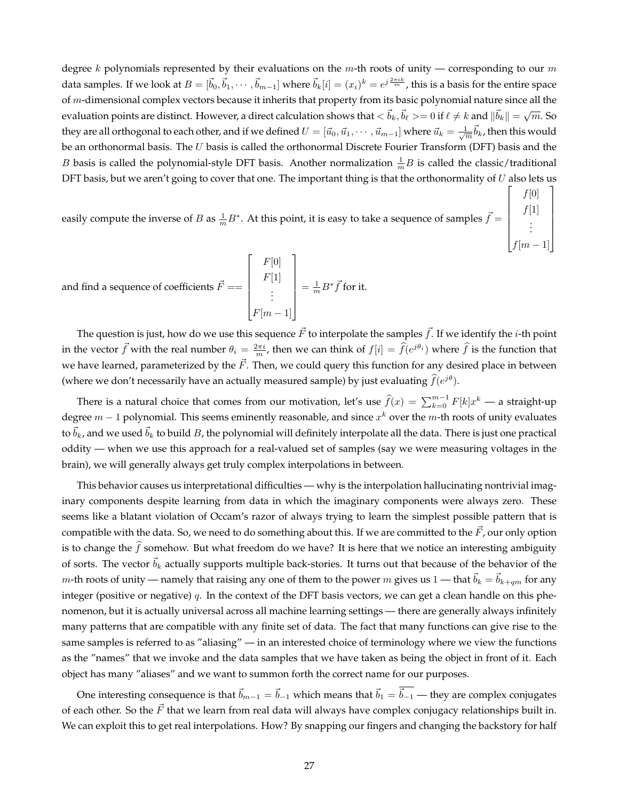degree k polynomials represented by their evaluations on the  $m$ -th roots of unity — corresponding to our  $m$ data samples. If we look at  $B=[\vec b_0,\vec b_1,\cdots,\vec b_{m-1}]$  where  $\vec b_k[i]=(x_i)^k=e^{j\frac{2\pi ik}{m}}$ , this is a basis for the entire space of  $m$ -dimensional complex vectors because it inherits that property from its basic polynomial nature since all the evaluation points are distinct. However, a direct calculation shows that  $\langle \vec{b}_k, \vec{b}_\ell \rangle = 0$  if  $\ell \neq k$  and  $\|\vec{b}_k\| = \sqrt{m}$ . So they are all orthogonal to each other, and if we defined  $U=[\vec u_0,\vec u_1,\cdots,\vec u_{m-1}]$  where  $\vec u_k=\frac{1}{\sqrt{m}}\vec b_k$ , then this would be an orthonormal basis. The U basis is called the orthonormal Discrete Fourier Transform (DFT) basis and the *B* basis is called the polynomial-style DFT basis. Another normalization  $\frac{1}{m}B$  is called the classic/traditional DFT basis, but we aren't going to cover that one. The important thing is that the orthonormality of  $U$  also lets us  $\lceil$ 1

 $f[0]$  $f[1]$ . . .  $f[m-1]$ 

 $\begin{array}{c} \begin{array}{c} \begin{array}{c} \end{array} \\ \begin{array}{c} \end{array} \end{array} \end{array}$ 

easily compute the inverse of B as  $\frac{1}{m}B^*$ . At this point, it is easy to take a sequence of samples  $\vec{f}$  = 

and find a sequence of coefficients  $\vec{F}==$  $\lceil$   $F[0]$  $F[1]$ . . .  $F[m-1]$ 1  $=\frac{1}{m}B^*\vec{f}$  for it.

The question is just, how do we use this sequence  $\vec{F}$  to interpolate the samples  $\vec{f}$ . If we identify the *i*-th point in the vector  $\vec{f}$  with the real number  $\theta_i = \frac{2\pi i}{m}$ , then we can think of  $f[i] = \hat{f}(e^{j\theta_i})$  where  $\hat{f}$  is the function that we have learned, parameterized by the  $\vec{F}$ . Then, we could query this function for any desired place in between (where we don't necessarily have an actually measured sample) by just evaluating  $\widehat{f}(e^{j\theta})$ .

There is a natural choice that comes from our motivation, let's use  $\widehat{f}(x) = \sum_{k=0}^{m-1} F[k]x^k$  — a straight-up degree  $m-1$  polynomial. This seems eminently reasonable, and since  $x^k$  over the m-th roots of unity evaluates to  $\vec{b}_k$ , and we used  $\vec{b}_k$  to build B, the polynomial will definitely interpolate all the data. There is just one practical oddity — when we use this approach for a real-valued set of samples (say we were measuring voltages in the brain), we will generally always get truly complex interpolations in between.

This behavior causes us interpretational difficulties — why is the interpolation hallucinating nontrivial imaginary components despite learning from data in which the imaginary components were always zero. These seems like a blatant violation of Occam's razor of always trying to learn the simplest possible pattern that is compatible with the data. So, we need to do something about this. If we are committed to the  $\vec{F}$ , our only option is to change the f somehow. But what freedom do we have? It is here that we notice an interesting ambiguity of sorts. The vector  $\vec{b}_k$  actually supports multiple back-stories. It turns out that because of the behavior of the *m*-th roots of unity — namely that raising any one of them to the power *m* gives us 1 — that  $\vec{b}_k = \vec{b}_{k+qm}$  for any integer (positive or negative)  $q$ . In the context of the DFT basis vectors, we can get a clean handle on this phenomenon, but it is actually universal across all machine learning settings — there are generally always infinitely many patterns that are compatible with any finite set of data. The fact that many functions can give rise to the same samples is referred to as "aliasing" — in an interested choice of terminology where we view the functions as the "names" that we invoke and the data samples that we have taken as being the object in front of it. Each object has many "aliases" and we want to summon forth the correct name for our purposes.

One interesting consequence is that  $\vec{b}_{m-1} = \vec{b}_{-1}$  which means that  $\vec{b}_1 = \overline{\vec{b}_{-1}}$  — they are complex conjugates of each other. So the  $\vec{F}$  that we learn from real data will always have complex conjugacy relationships built in. We can exploit this to get real interpolations. How? By snapping our fingers and changing the backstory for half